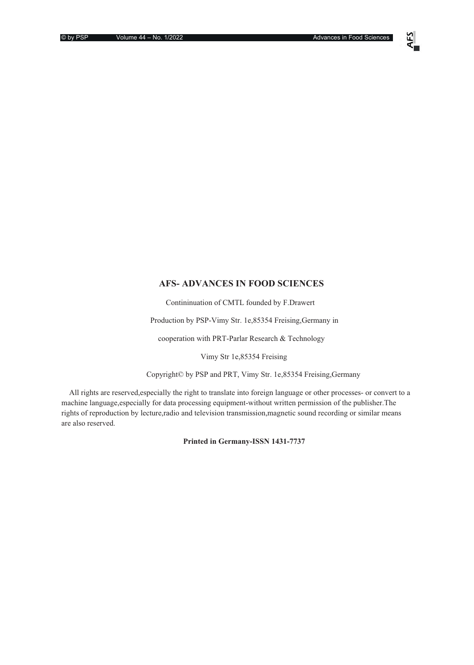

#### **AFS- ADVANCES IN FOOD SCIENCES**

Contininuation of CMTL founded by F.Drawert

Production by PSP-Vimy Str. 1e,85354 Freising, Germany in

cooperation with PRT-Parlar Research & Technology

Vimy Str 1e,85354 Freising

Copyright© by PSP and PRT, Vimy Str. 1e,85354 Freising, Germany

All rights are reserved, especially the right to translate into foreign language or other processes- or convert to a machine language, especially for data processing equipment-without written permission of the publisher. The rights of reproduction by lecture, radio and television transmission, magnetic sound recording or similar means are also reserved.

Printed in Germany-ISSN 1431-7737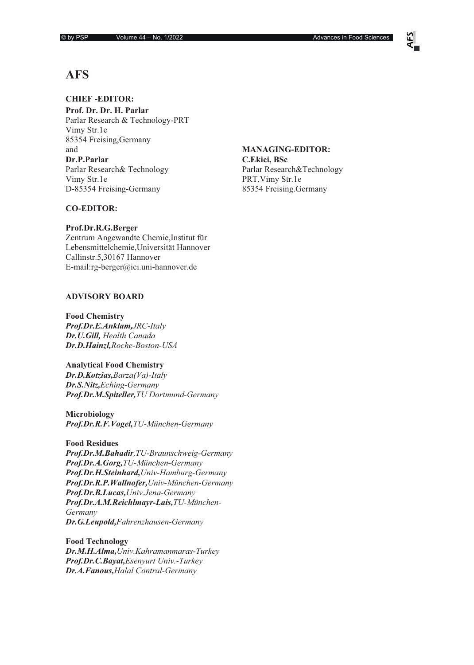

## **AFS**

**CHIEF-EDITOR:** 

Prof. Dr. Dr. H. Parlar Parlar Research & Technology-PRT Vimy Str.1e 85354 Freising, Germany and Dr.P.Parlar Parlar Research& Technology Vimy Str.1e D-85354 Freising-Germany

#### CO-EDITOR:

Prof.Dr.R.G.Berger

Zentrum Angewandte Chemie, Institut für Lebensmittelchemie, Universität Hannover Callinstr.5,30167 Hannover E-mail:rg-berger@ici.uni-hannover.de

#### **ADVISORY BOARD**

**Food Chemistry** *Prof.Dr.E.Anklam,JRC-Italy Dr.U.Gill, Health Canada Dr.D.Hainzl,Roche-Boston-USA*

**Analytical Food Chemistry** *Dr.D.Kotzias,Barza(Va)-Italy Dr.S.Nitz,Eching-Germany*

*Prof.Dr.M.Spiteller,TU Dortmund-Germany*

**Microbiology** 

*Prof.Dr.R.F.Vogel,TU-München-Germany*

**Food Residues** *Prof.Dr.M.Bahadir,TU-Braunschweig-Germany Prof.Dr.A.Gorg,TU-München-Germany Prof.Dr.H.Steinhard,Univ-Hamburg-Germany Prof.Dr.R.P.Wallnofer,Univ-München-Germany Prof.Dr.B.Lucas,Univ.Jena-Germany Prof.Dr.A.M.Reichlmayr-Lais,TU-München-Germany Dr.G.Leupold,Fahrenzhausen-Germany* 

**Food Technology** *Dr.M.H.Alma,Univ.Kahramanmaras-Turkey Prof.Dr.C.Bayat,Esenyurt Univ.-Turkey Dr.A.Fanous,Halal Contral-Germany*

**MANAGING-EDITOR: C.Ekici. BSc** Parlar Research&Technology

PRT, Vimy Str.1e 85354 Freising.Germany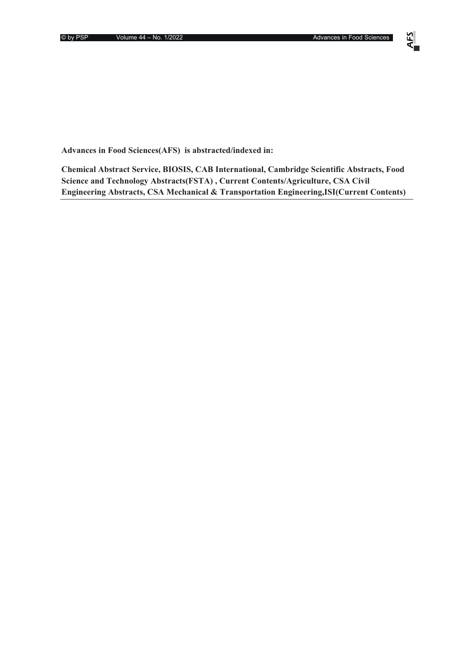

Advances in Food Sciences(AFS) is abstracted/indexed in:

Chemical Abstract Service, BIOSIS, CAB International, Cambridge Scientific Abstracts, Food Science and Technology Abstracts(FSTA), Current Contents/Agriculture, CSA Civil **Engineering Abstracts, CSA Mechanical & Transportation Engineering, ISI(Current Contents)**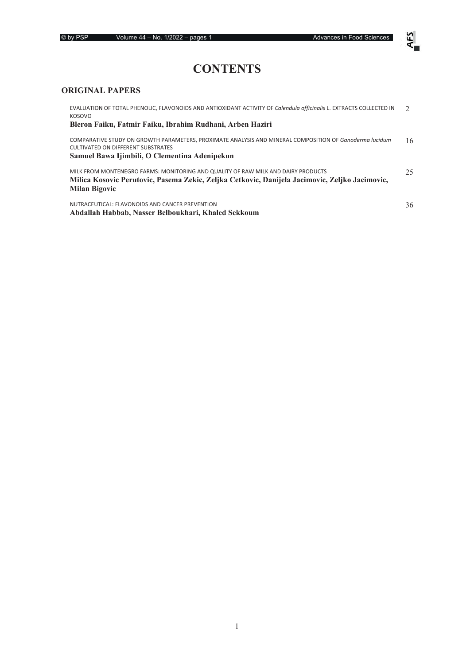$AFS$ 

## **CONTENTS**

#### **25,\*,1\$/3\$3(56**

| EVALUATION OF TOTAL PHENOLIC, FLAVONOIDS AND ANTIOXIDANT ACTIVITY OF Calendula officinalis L. EXTRACTS COLLECTED IN<br>KOSOVO                 | $\mathcal{D}_{\mathcal{L}}$ |
|-----------------------------------------------------------------------------------------------------------------------------------------------|-----------------------------|
| Bleron Faiku, Fatmir Faiku, Ibrahim Rudhani, Arben Haziri                                                                                     |                             |
| COMPARATIVE STUDY ON GROWTH PARAMETERS, PROXIMATE ANALYSIS AND MINERAL COMPOSITION OF Ganoderma lucidum<br>CULTIVATED ON DIFFERENT SUBSTRATES | 16                          |
| Samuel Bawa Ijimbili, O Clementina Adenipekun                                                                                                 |                             |
| MILK FROM MONTENEGRO FARMS: MONITORING AND QUALITY OF RAW MILK AND DAIRY PRODUCTS                                                             | 25                          |
| Milica Kosovic Perutovic, Pasema Zekic, Zeljka Cetkovic, Danijela Jacimovic, Zeljko Jacimovic,<br><b>Milan Bigovic</b>                        |                             |
| NUTRACEUTICAL: FLAVONOIDS AND CANCER PREVENTION                                                                                               | 36                          |
| Abdallah Habbab, Nasser Belboukhari, Khaled Sekkoum                                                                                           |                             |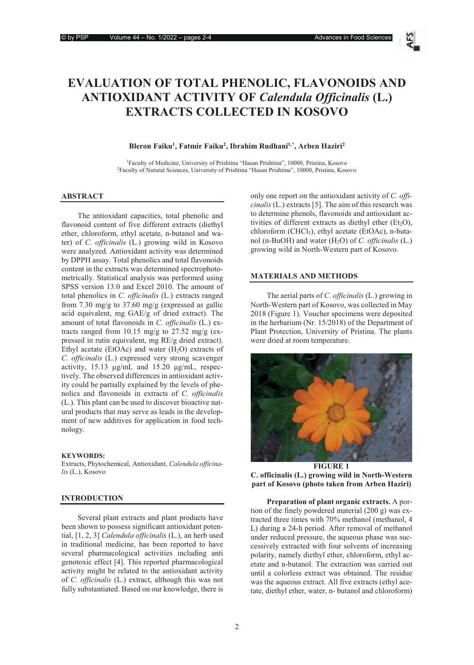## **EVALUATION OF TOTAL PHENOLIC, FLAVONOIDS AND ANTIOXIDANT ACTIVITY OF** *Calendula Officinalis* **(L.) EXTRACTS COLLECTED IN KOSOVO**

#### Bleron Faiku<sup>1</sup>, Fatmir Faiku<sup>2</sup>, Ibrahim Rudhani<sup>1,\*</sup>, Arben Haziri<sup>2</sup>

1 Faculty of Medicine, University of Prishtina "Hasan Prishtina", 10000, Pristina, Kosovo 2 Faculty of Natural Sciences, University of Prishtina "Hasan Prishtina", 10000, Pristina, Kosovo

#### **ABSTRACT**

The antioxidant capacities, total phenolic and flavonoid content of five different extracts (diethyl ether, chloroform, ethyl acetate, n-butanol and water) of *C. officinalis* (L.) growing wild in Kosovo were analyzed. Antioxidant activity was determined by DPPH assay. Total phenolics and total flavonoids content in the extracts was determined spectrophotometrically. Statistical analysis was performed using SPSS version 13.0 and Excel 2010. The amount of total phenolics in *C. officinalis* (L.) extracts ranged from 7.30 mg/g to 37.60 mg/g (expressed as gallic acid equivalent, mg GAE/g of dried extract). The amount of total flavonoids in *C. officinalis* (L.) extracts ranged from 10.15 mg/g to 27.52 mg/g (expressed in rutin equivalent, mg RE/g dried extract). Ethyl acetate (EtOAc) and water  $(H<sub>2</sub>O)$  extracts of *C. officinalis* (L.) expressed very strong scavenger activity, 15.13 μg/mL and 15.20 μg/mL, respectively. The observed differences in antioxidant activity could be partially explained by the levels of phenolics and flavonoids in extracts of *C. officinalis* (L.). This plant can be used to discover bioactive natural products that may serve as leads in the development of new additives for application in food technology.

#### **KEYWORDS:**

Extracts, Phytochemical, Antioxidant, *Calendula officinalis* (L.), Kosovo

#### **INTRODUCTION**

Several plant extracts and plant products have been shown to possess significant antioxidant potential, [1, 2, 3] *Calendula officinalis* (L.), an herb used in traditional medicine, has been reported to have several pharmacological activities including anti genotoxic effect [4]. This reported pharmacological activity might be related to the antioxidant activity of *C. officinalis* (L.) extract, although this was not fully substantiated. Based on our knowledge, there is only one report on the antioxidant activity of *C. officinalis* (L.) extracts [5]. The aim of this research was to determine phenols, flavonoids and antioxidant activities of different extracts as diethyl ether  $(Et<sub>2</sub>O)$ , chloroform (CHCl3), ethyl acetate (EtOAc), n-butanol (n-BuOH) and water (H2O) of *C. officinalis* (L.) growing wild in North-Western part of Kosovo.

#### **MATERIALS AND METHODS**

The aerial parts of *C. officinalis* (L.) growing in North-Western part of Kosovo, was collected in May 2018 (Figure 1). Voucher specimens were deposited in the herbarium (Nr. 15/2018) of the Department of Plant Protection, University of Pristina. The plants were dried at room temperature.



**FIGURE 1 C. officinalis (L.) growing wild in North-Western part of Kosovo (photo taken from Arben Haziri)**

**Preparation of plant organic extracts.** A portion of the finely powdered material (200 g) was extracted three times with 70% methanol (methanol, 4 L) during a 24-h period. After removal of methanol under reduced pressure, the aqueous phase was successively extracted with four solvents of increasing polarity, namely diethyl ether, chloroform, ethyl acetate and n-butanol. The extraction was carried out until a colorless extract was obtained. The residue was the aqueous extract. All five extracts (ethyl acetate, diethyl ether, water, n- butanol and chloroform)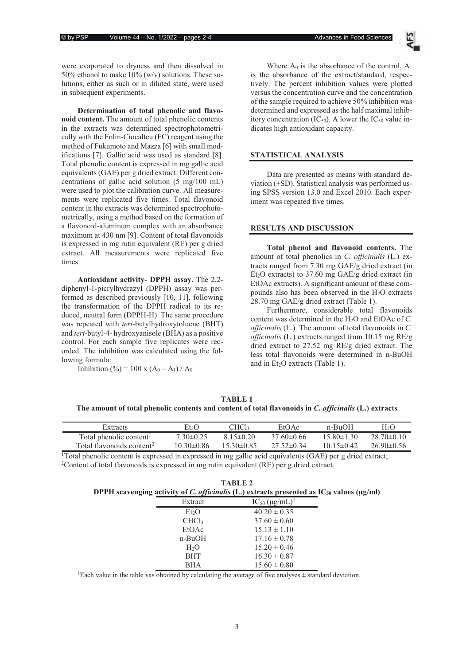were evaporated to dryness and then dissolved in 50% ethanol to make  $10\%$  (w/v) solutions. These solutions, either as such or in diluted state, were used in subsequent experiments.

**Determination of total phenolic and flavonoid content.** The amount of total phenolic contents in the extracts was determined spectrophotometrically with the Folin-Ciocalteu (FC) reagent using the method of Fukumoto and Mazza [6] with small modifications [7]. Gallic acid was used as standard [8]. Total phenolic content is expressed in mg gallic acid equivalents (GAE) per g dried extract. Different concentrations of gallic acid solution (5 mg/100 mL) were used to plot the calibration curve. All measurements were replicated five times. Total flavonoid content in the extracts was determined spectrophotometrically, using a method based on the formation of a flavonoid-aluminum complex with an absorbance maximum at 430 nm [9]. Content of total flavonoids is expressed in mg rutin equivalent (RE) per g dried extract. All measurements were replicated five times.

**Antioxidant activity- DPPH assay.** The 2,2 diphenyl-1-picrylhydrazyl (DPPH) assay was performed as described previously [10, 11], following the transformation of the DPPH radical to its reduced, neutral form (DPPH-H). The same procedure was repeated with *tert*-butylhydroxytoluene (BHT) and *tert*-butyl-4- hydroxyanisole (BHA) as a positive control. For each sample five replicates were recorded. The inhibition was calculated using the following formula:

Inhibition (%) = 100 x (A<sub>0</sub> – A<sub>1</sub>) / A<sub>0</sub>

Where  $A_0$  is the absorbance of the control,  $A_1$ is the absorbance of the extract/standard, respectively. The percent inhibition values were plotted versus the concentration curve and the concentration of the sample required to achieve 50% inhibition was determined and expressed as the half maximal inhibitory concentration (IC<sub>50</sub>). A lower the IC<sub>50</sub> value indicates high antioxidant capacity.

#### **STATISTICAL ANALYSIS**

Data are presented as means with standard deviation (±SD). Statistical analysis was performed using SPSS version 13.0 and Excel 2010. Each experiment was repeated five times.

#### **RESULTS AND DISCUSSION**

**Total phenol and flavonoid contents.** The amount of total phenolics in *C. officinalis* (L.) extracts ranged from 7.30 mg GAE/g dried extract (in Et<sub>2</sub>O extracts) to 37.60 mg GAE/g dried extract (in EtOAc extracts). A significant amount of these compounds also has been observed in the  $H<sub>2</sub>O$  extracts 28.70 mg GAE/g dried extract (Table 1).

Furthermore, considerable total flavonoids content was determined in the H<sub>2</sub>O and EtOAc of *C*. *officinalis* (L.). The amount of total flavonoids in *C. officinalis* (L.) extracts ranged from 10.15 mg RE/g dried extract to 27.52 mg RE/g dried extract. The less total flavonoids were determined in n-BuOH and in  $Et<sub>2</sub>O$  extracts (Table 1).

**TABLE 1 The amount of total phenolic contents and content of total flavonoids in** *C. officinalis* **(L.) extracts**

| Extracts                              | Et2O           | CHC <sub>1</sub> | EtOAc          | $n-BuOH$     | Н2O            |
|---------------------------------------|----------------|------------------|----------------|--------------|----------------|
| Total phenolic content <sup>1</sup>   | $7.30\pm0.25$  | $8.15 \pm 0.20$  | $37.60\pm0.66$ | $15,80+1,30$ | $28.70\pm0.10$ |
| Total flavonoids content <sup>2</sup> | $10.30\pm0.86$ | $1530+0.85$      | $27.52\pm0.34$ | $1015+042$   | $2690+056$     |
| .                                     |                |                  |                |              |                |

<sup>1</sup>Total phenolic content is expressed in expressed in mg gallic acid equivalents (GAE) per g dried extract; <sup>2</sup>Content of total flavonoids is expressed in mg rutin equivalent (RE) per g dried extract.

| TABLE 2                                                                                              |  |
|------------------------------------------------------------------------------------------------------|--|
| DPPH scavenging activity of C. officinalis (L.) extracts presented as $IC_{50}$ values ( $\mu$ g/ml) |  |

| Extract           | $IC_{50}$ (µg/mL) <sup>1</sup> |  |
|-------------------|--------------------------------|--|
| Et <sub>2</sub> O | $40.20 \pm 0.35$               |  |
| CHCl <sub>3</sub> | $37.60 \pm 0.60$               |  |
| EtOAc             | $15.13 \pm 1.10$               |  |
| n-BuOH            | $17.16 \pm 0.78$               |  |
| H <sub>2</sub> O  | $15.20 \pm 0.46$               |  |
| <b>BHT</b>        | $16.30 \pm 0.87$               |  |
| <b>BHA</b>        | $15.60 \pm 0.80$               |  |

<sup>1</sup>Each value in the table vas obtained by calculating the average of five analyses  $\pm$  standard deviation.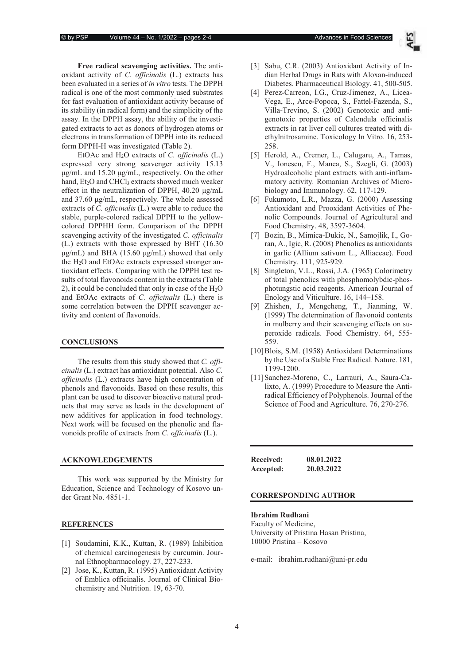**Free radical scavenging activities.** The antioxidant activity of *C. officinalis* (L.) extracts has been evaluated in a series of *in vitro* tests. The DPPH radical is one of the most commonly used substrates for fast evaluation of antioxidant activity because of its stability (in radical form) and the simplicity of the assay. In the DPPH assay, the ability of the investigated extracts to act as donors of hydrogen atoms or electrons in transformation of DPPH into its reduced form DPPH-H was investigated (Table 2).

EtOAc and H2O extracts of *C. officinalis* (L.) expressed very strong scavenger activity 15.13 μg/mL and 15.20 μg/mL, respectively. On the other hand,  $Et<sub>2</sub>O$  and CHCl<sub>3</sub> extracts showed much weaker effect in the neutralization of DPPH, 40.20 μg/mL and 37.60 μg/mL, respectively. The whole assessed extracts of *C. officinalis* (L.) were able to reduce the stable, purple-colored radical DPPH to the yellowcolored DPPHH form. Comparison of the DPPH scavenging activity of the investigated *C. officinalis* (L.) extracts with those expressed by BHT (16.30 μg/mL) and BHA (15.60 μg/mL) showed that only the H2O and EtOAc extracts expressed stronger antioxidant effects. Comparing with the DPPH test results of total flavonoids content in the extracts (Table 2), it could be concluded that only in case of the  $H<sub>2</sub>O$ and EtOAc extracts of *C. officinalis* (L.) there is some correlation between the DPPH scavenger activity and content of flavonoids.

#### **CONCLUSIONS**

The results from this study showed that *C. officinalis* (L.) extract has antioxidant potential. Also *C. officinalis* (L.) extracts have high concentration of phenols and flavonoids. Based on these results, this plant can be used to discover bioactive natural products that may serve as leads in the development of new additives for application in food technology. Next work will be focused on the phenolic and flavonoids profile of extracts from *C. officinalis* (L.).

#### **ACKNOWLEDGEMENTS**

This work was supported by the Ministry for Education, Science and Technology of Kosovo under Grant No. 4851-1.

#### **REFERENCES**

- [1] Soudamini, K.K., Kuttan, R. (1989) Inhibition of chemical carcinogenesis by curcumin. Journal Ethnopharmacology. 27, 227-233.
- [2] Jose, K., Kuttan, R. (1995) Antioxidant Activity of Emblica officinalis. Journal of Clinical Biochemistry and Nutrition. 19, 63-70.
- [3] Sabu, C.R. (2003) Antioxidant Activity of Indian Herbal Drugs in Rats with Aloxan-induced Diabetes. Pharmaceutical Biology. 41, 500-505.
- [4] Perez-Carreon, I.G., Cruz-Jimenez, A., Licea-Vega, E., Arce-Popoca, S., Fattel-Fazenda, S., Villa-Trevino, S. (2002) Genotoxic and antigenotoxic properties of Calendula officinalis extracts in rat liver cell cultures treated with diethylnitrosamine. Toxicology In Vitro. 16, 253- 258.
- [5] Herold, A., Cremer, L., Calugaru, A., Tamas, V., Ionescu, F., Manea, S., Szegli, G. (2003) Hydroalcoholic plant extracts with anti-inflammatory activity*.* Romanian Archives of Microbiology and Immunology. 62, 117-129.
- [6] Fukumoto, L.R., Mazza, G. (2000) Assessing Antioxidant and Prooxidant Activities of Phenolic Compounds. Journal of Agricultural and Food Chemistry. 48, 3597-3604.
- [7] Bozin, B., Mimica-Dukic, N., Samojlik, I., Goran, A., Igic, R. (2008) Phenolics as antioxidants in garlic (Allium sativum L., Alliaceae). Food Chemistry. 111, 925-929.
- [8] Singleton, V.L., Rossi, J.A. (1965) Colorimetry of total phenolics with phosphomolybdic-phosphotungstic acid reagents. American Journal of Enology and Viticulture. 16, 144–158.
- [9] Zhishen, J., Mengcheng, T., Jianming, W. (1999) The determination of flavonoid contents in mulberry and their scavenging effects on superoxide radicals. Food Chemistry. 64, 555- 559.
- [10]Blois, S.M. (1958) Antioxidant Determinations by the Use of a Stable Free Radical. Nature. 181, 1199-1200.
- [11]Sanchez-Moreno, C., Larrauri, A., Saura-Calixto, A. (1999) Procedure to Measure the Antiradical Efficiency of Polyphenols. Journal of the Science of Food and Agriculture. 76, 270-276.

| <b>Received:</b> | 08.01.2022 |
|------------------|------------|
| Accepted:        | 20.03.2022 |

#### **CORRESPONDING AUTHOR**

#### **Ibrahim Rudhani**

Faculty of Medicine, University of Pristina Hasan Pristina, 10000 Pristina – Kosovo

e-mail: ibrahim.rudhani@uni-pr.edu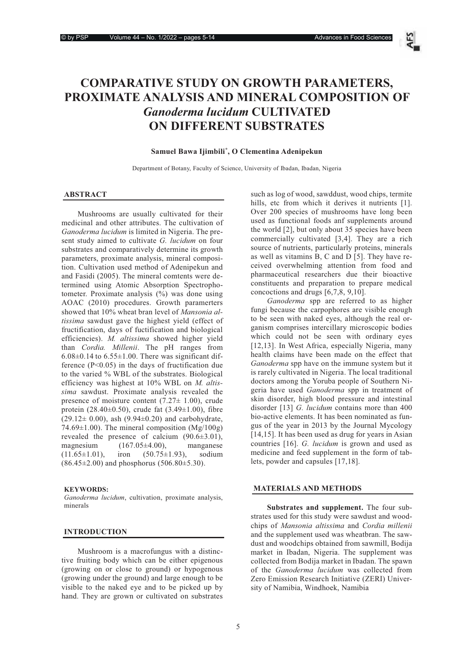## **COMPARATIVE STUDY ON GROWTH PARAMETERS, PROXIMATE ANALYSIS AND MINERAL COMPOSITION OF**  *Ganoderma lucidum* **CULTIVATED ON DIFFERENT SUBSTRATES**

#### **Samuel Bawa Ijimbili\* , O Clementina Adenipekun**

Department of Botany, Faculty of Science, University of Ibadan, Ibadan, Nigeria

#### **ABSTRACT**

Mushrooms are usually cultivated for their medicinal and other attributes. The cultivation of *Ganoderma lucidum* is limited in Nigeria. The present study aimed to cultivate *G. lucidum* on four substrates and comparatively determine its growth parameters, proximate analysis, mineral composition. Cultivation used method of Adenipekun and and Fasidi (2005). The mineral comtents were determined using Atomic Absorption Spectrophotometer. Proximate analysis (%) was done using AOAC (2010) procedures. Growth paramerters showed that 10% wheat bran level of *Mansonia altissima* sawdust gave the highest yield (effect of fructification, days of fuctification and biological efficiencies). *M. altissima* showed higher yield than *Cordia. Millenii*. The pH ranges from  $6.08\pm0.14$  to  $6.55\pm1.00$ . There was significant difference (P<0.05) in the days of fructification due to the varied % WBL of the substrates. Biological efficiency was highest at 10% WBL on *M. altissima* sawdust. Proximate analysis revealed the presence of moisture content  $(7.27 \pm 1.00)$ , crude protein  $(28.40\pm0.50)$ , crude fat  $(3.49\pm1.00)$ , fibre  $(29.12 \pm 0.00)$ , ash  $(9.94 \pm 0.20)$  and carbohydrate, 74.69 $\pm$ 1.00). The mineral composition (Mg/100g) revealed the presence of calcium (90.6±3.01), magnesium (167.05±4.00), manganese  $(11.65\pm1.01)$ , iron  $(50.75\pm1.93)$ , sodium  $(86.45\pm2.00)$  and phosphorus  $(506.80\pm5.30)$ .

#### **KEYWORDS:**

*Ganoderma lucidum*, cultivation, proximate analysis, minerals

#### **INTRODUCTION**

Mushroom is a macrofungus with a distinctive fruiting body which can be either epigenous (growing on or close to ground) or hypogenous (growing under the ground) and large enough to be visible to the naked eye and to be picked up by hand. They are grown or cultivated on substrates

such as log of wood, sawddust, wood chips, termite hills, etc from which it derives it nutrients [1]. Over 200 species of mushrooms have long been used as functional foods anf supplements around the world [2], but only about 35 species have been commercially cultivated [3,4]. They are a rich source of nutrients, particularly proteins, minerals as well as vitamins B, C and D [5]. They have received overwhelming attention from food and pharmaceutical researchers due their bioactive constituents and preparation to prepare medical concoctions and drugs [6,7,8, 9,10].

*Ganoderma* spp are referred to as higher fungi because the carpophores are visible enough to be seen with naked eyes, although the real organism comprises intercillary microscopic bodies which could not be seen with ordinary eyes [12,13]. In West Africa, especially Nigeria, many health claims have been made on the effect that *Ganoderma* spp have on the immune system but it is rarely cultivated in Nigeria. The local traditional doctors among the Yoruba people of Southern Nigeria have used *Ganoderma* spp in treatment of skin disorder, high blood pressure and intestinal disorder [13] *G. lucidum* contains more than 400 bio-active elements. It has been nominated as fungus of the year in 2013 by the Journal Mycology [14,15]. It has been used as drug for years in Asian countries [16]. *G. lucidum* is grown and used as medicine and feed supplement in the form of tablets, powder and capsules [17,18].

#### **MATERIALS AND METHODS**

**Substrates and supplement.** The four substrates used for this study were sawdust and woodchips of *Mansonia altissima* and *Cordia millenii* and the supplement used was wheatbran. The sawdust and woodchips obtained from sawmill, Bodija market in Ibadan, Nigeria. The supplement was collected from Bodija market in Ibadan. The spawn of the *Ganoderma lucidum* was collected from Zero Emission Research Initiative (ZERI) University of Namibia, Windhoek, Namibia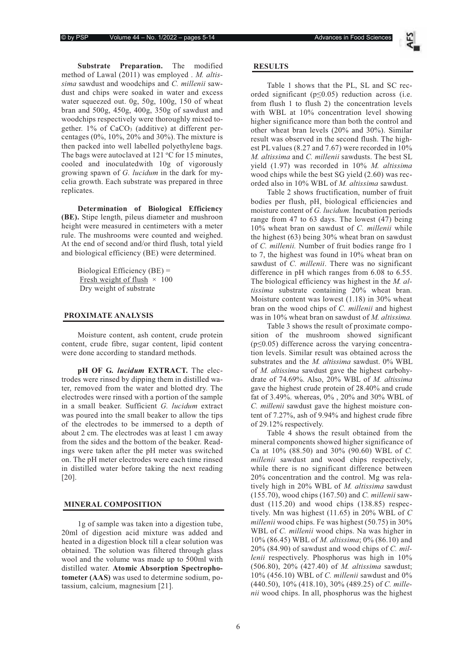**Substrate Preparation.** The modified method of Lawal (2011) was employed . *M. altissima* sawdust and woodchips and *C. millenii* sawdust and chips were soaked in water and excess water squeezed out. 0g, 50g, 100g, 150 of wheat bran and 500g, 450g, 400g, 350g of sawdust and woodchips respectively were thoroughly mixed together.  $1\%$  of CaCO<sub>3</sub> (additive) at different percentages (0%, 10%, 20% and 30%). The mixture is then packed into well labelled polyethylene bags. The bags were autoclaved at  $121 \text{ °C}$  for 15 minutes, cooled and inoculatedwith 10g of vigorously growing spawn of *G. lucidum* in the dark for mycelia growth. Each substrate was prepared in three replicates.

**Determination of Biological Efficiency (BE).** Stipe length, pileus diameter and mushroon height were measured in centimeters with a meter rule. The mushrooms were counted and weighed. At the end of second and/or third flush, total yield and biological efficiency (BE) were determined.

Biological Efficiency (BE) = Fresh weight of flush  $\times$  100 Dry weight of substrate

#### **PROXIMATE ANALYSIS**

Moisture content, ash content, crude protein content, crude fibre, sugar content, lipid content were done according to standard methods.

**pH OF G***. lucidum* **EXTRACT.** The electrodes were rinsed by dipping them in distilled water, removed from the water and blotted dry. The electrodes were rinsed with a portion of the sample in a small beaker. Sufficient *G. lucidum* extract was poured into the small beaker to allow the tips of the electrodes to be immersed to a depth of about 2 cm. The electrodes was at least 1 cm away from the sides and the bottom of the beaker. Readings were taken after the pH meter was switched on. The pH meter electrodes were each time rinsed in distilled water before taking the next reading [20].

#### **MINERAL COMPOSITION**

1g of sample was taken into a digestion tube, 20ml of digestion acid mixture was added and heated in a digestion block till a clear solution was obtained. The solution was filtered through glass wool and the volume was made up to 500ml with distilled water. **Atomic Absorption Spectrophotometer (AAS)** was used to determine sodium, potassium, calcium, magnesium [21].

#### **RESULTS**

Table 1 shows that the PL, SL and SC recorded significant ( $p \leq 0.05$ ) reduction across (i.e. from flush 1 to flush 2) the concentration levels with WBL at 10% concentration level showing higher significance more than both the control and other wheat bran levels (20% and 30%). Similar result was observed in the second flush. The highest PL values (8.27 and 7.67) were recorded in 10% *M. altissima* and *C. millenii* sawdusts. The best SL yield (1.97) was recorded in 10% *M. altissima*  wood chips while the best SG yield (2.60) was recorded also in 10% WBL of *M. altissima* sawdust.

Table 2 shows fructification, number of fruit bodies per flush, pH, biological efficiencies and moisture content of *G. lucidum.* Incubation periods range from 47 to 63 days. The lowest (47) being 10% wheat bran on sawdust of *C. millenii* while the highest (63) being 30% wheat bran on sawdust of *C. millenii.* Number of fruit bodies range fro 1 to 7, the highest was found in 10% wheat bran on sawdust of *C. millenii*. There was no significant difference in pH which ranges from 6.08 to 6.55. The biological efficiency was highest in the *M. altissima* substrate containing 20% wheat bran. Moisture content was lowest (1.18) in 30% wheat bran on the wood chips of *C. millenii* and highest was in 10% wheat bran on sawdust of *M. altissima.*

Table 3 shows the result of proximate composition of the mushroom showed significant  $(p \leq 0.05)$  difference across the varying concentration levels. Similar result was obtained across the substrates and the *M. altissima* sawdust. 0% WBL of *M. altissima* sawdust gave the highest carbohydrate of 74.69%. Also, 20% WBL of *M. altissima* gave the highest crude protein of 28.40% and crude fat of 3.49%. whereas, 0% , 20% and 30% WBL of *C. millenii* sawdust gave the highest moisture content of 7.27%, ash of 9.94% and highest crude fibre of 29.12% respectively.

Table 4 shows the result obtained from the mineral components showed higher significance of Ca at 10% (88.50) and 30% (90.60) WBL of *C. millenii* sawdust and wood chips respectively, while there is no significant difference between 20% concentration and the control. Mg was relatively high in 20% WBL of *M. altissima* sawdust (155.70), wood chips (167.50) and *C. millenii* sawdust (115.20) and wood chips (138.85) respectively. Mn was highest (11.65) in 20% WBL of *C millenii* wood chips. Fe was highest (50.75) in 30% WBL of *C. millenii* wood chips. Na was higher in 10% (86.45) WBL of *M. altissima*; 0% (86.10) and 20% (84.90) of sawdust and wood chips of *C. millenii* respectively. Phosphorus was high in 10% (506.80), 20% (427.40) of *M. altissima* sawdust; 10% (456.10) WBL of *C. millenii* sawdust and 0% (440.50), 10% (418.10), 30% (489.25) of *C. millenii* wood chips. In all, phosphorus was the highest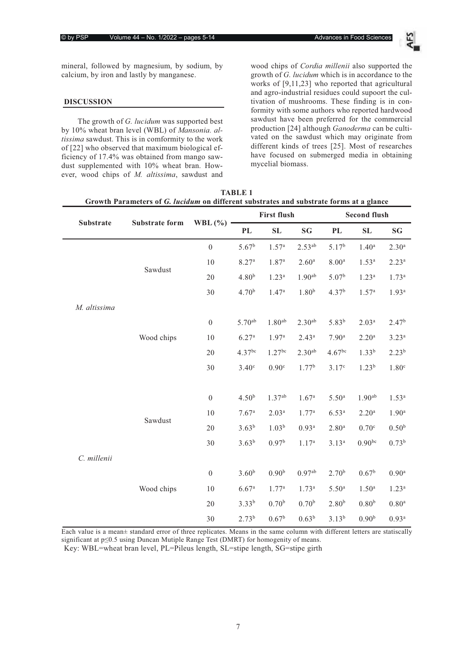

#### **DISCUSSION**

The growth of *G. lucidum* was supported best by 10% wheat bran level (WBL) of *Mansonia. altissima* sawdust. This is in comformity to the work of [22] who observed that maximum biological efficiency of 17.4% was obtained from mango sawdust supplemented with 10% wheat bran. However, wood chips of *M. altissima*, sawdust and

wood chips of *Cordia millenii* also supported the growth of *G. lucidum* which is in accordance to the works of [9,11,23] who reported that agricultural and agro-industrial residues could supoort the cultivation of mushrooms. These finding is in conformity with some authors who reported hardwood sawdust have been preferred for the commercial production [24] although *Ganoderma* can be cultivated on the sawdust which may originate from different kinds of trees [25]. Most of researches have focused on submerged media in obtaining mycelial biomass.

|              |                |                  | <b>First flush</b> |                    |                    | <b>Second flush</b> |                    |                   |
|--------------|----------------|------------------|--------------------|--------------------|--------------------|---------------------|--------------------|-------------------|
| Substrate    | Substrate form | WBL $(\% )$      | PL                 | SL                 | <b>SG</b>          | PL                  | <b>SL</b>          | SG                |
|              |                | $\boldsymbol{0}$ | 5.67 <sup>b</sup>  | 1.57 <sup>a</sup>  | $2.53^{ab}$        | 5.17 <sup>b</sup>   | 1.40 <sup>a</sup>  | $2.30^{a}$        |
|              |                | $10\,$           | 8.27 <sup>a</sup>  | 1.87 <sup>a</sup>  | 2.60 <sup>a</sup>  | 8.00 <sup>a</sup>   | $1.53^{a}$         | $2.23^{a}$        |
|              | Sawdust        | 20               | 4.80 <sup>b</sup>  | 1.23 <sup>a</sup>  | 1.90 <sup>ab</sup> | 5.07 <sup>b</sup>   | $1.23^{a}$         | $1.73^{a}$        |
|              |                | 30               | 4.70 <sup>b</sup>  | $1.47^{\rm a}$     | $1.80^{b}$         | 4.37 <sup>b</sup>   | 1.57 <sup>a</sup>  | 1.93 <sup>a</sup> |
| M. altissima |                |                  |                    |                    |                    |                     |                    |                   |
|              |                | $\boldsymbol{0}$ | 5.70 <sup>ab</sup> | 1.80 <sup>ab</sup> | 2.30 <sup>ab</sup> | 5.83 <sup>b</sup>   | $2.03^{a}$         | 2.47 <sup>b</sup> |
|              | Wood chips     | $10\,$           | 6.27a              | 1.97 <sup>a</sup>  | $2.43^{a}$         | 7.90 <sup>a</sup>   | 2.20 <sup>a</sup>  | $3.23^{a}$        |
|              |                | $20\,$           | $4.37^{bc}$        | $1.27^{bc}$        | 2.30 <sup>ab</sup> | 4.67 <sup>bc</sup>  | $1.33^{b}$         | $2.23^{b}$        |
|              |                | 30               | 3.40 <sup>c</sup>  | 0.90 <sup>c</sup>  | 1.77 <sup>b</sup>  | 3.17c               | $1.23^{b}$         | 1.80 <sup>c</sup> |
|              |                |                  |                    |                    |                    |                     |                    |                   |
|              |                | $\boldsymbol{0}$ | 4.50 <sup>b</sup>  | $1.37^{ab}$        | 1.67 <sup>a</sup>  | 5.50 <sup>a</sup>   | 1.90 <sup>ab</sup> | $1.53^{a}$        |
|              | Sawdust        | $10\,$           | 7.67 <sup>a</sup>  | 2.03 <sup>a</sup>  | 1.77 <sup>a</sup>  | 6.53 <sup>a</sup>   | 2.20 <sup>a</sup>  | 1.90 <sup>a</sup> |
|              |                | 20               | $3.63^{b}$         | $1.03^{b}$         | 0.93 <sup>a</sup>  | 2.80 <sup>a</sup>   | 0.70 <sup>c</sup>  | $0.50^{b}$        |
|              |                | 30               | $3.63^{b}$         | 0.97 <sup>b</sup>  | $1.17^{a}$         | $3.13^{a}$          | $0.90^{bc}$        | $0.73^{b}$        |
| C. millenii  |                |                  |                    |                    |                    |                     |                    |                   |
|              |                | $\boldsymbol{0}$ | 3.60 <sup>b</sup>  | 0.90 <sup>b</sup>  | $0.97^{ab}$        | 2.70 <sup>b</sup>   | 0.67 <sup>b</sup>  | $0.90^{\rm a}$    |
|              | Wood chips     | $10\,$           | 6.67 <sup>a</sup>  | 1.77 <sup>a</sup>  | 1.73 <sup>a</sup>  | 5.50 <sup>a</sup>   | 1.50 <sup>a</sup>  | $1.23^{a}$        |
|              |                | $20\,$           | $3.33^{b}$         | 0.70 <sup>b</sup>  | 0.70 <sup>b</sup>  | 2.80 <sup>b</sup>   | 0.80 <sup>b</sup>  | 0.80 <sup>a</sup> |
|              |                | 30               | $2.73^{b}$         | 0.67 <sup>b</sup>  | $0.63^{b}$         | $3.13^{b}$          | 0.90 <sup>b</sup>  | 0.93 <sup>a</sup> |

| TABLE 1                                                                                 |  |
|-----------------------------------------------------------------------------------------|--|
| Growth Parameters of G. lucidum on different substrates and substrate forms at a glance |  |

Each value is a mean± standard error of three replicates. Means in the same column with different letters are statiscally significant at p≤0.5 using Duncan Mutiple Range Test (DMRT) for homogenity of means.

Key: WBL=wheat bran level, PL=Pileus length, SL=stipe length, SG=stipe girth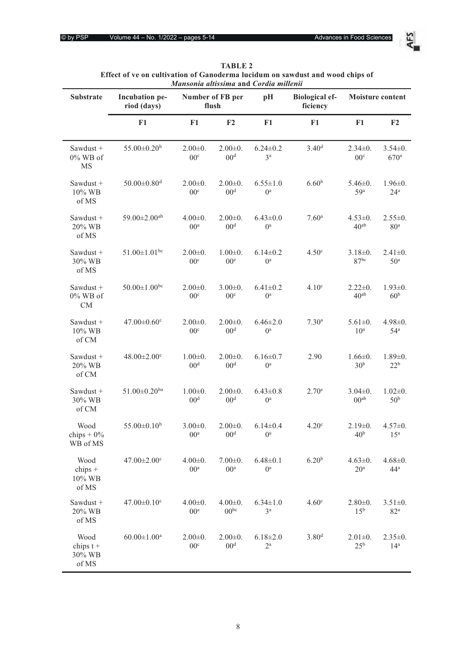AFS

| <b>Substrate</b>                       | Incubation pe-<br>riod (days)  | липоони ишээтни апа              | Number of FB per<br>flush         | Corum much<br>pH                   | <b>Biological ef-</b><br>ficiency |                                   | <b>Moisture content</b>           |
|----------------------------------------|--------------------------------|----------------------------------|-----------------------------------|------------------------------------|-----------------------------------|-----------------------------------|-----------------------------------|
|                                        | F1                             | F1                               | F2                                | F1                                 | F1                                | F1                                | F2                                |
| Sawdust +<br>$0\%$ WB of<br>MS         | $55.00 \pm 0.20^b$             | $2.00 \pm 0.$<br>00 <sup>c</sup> | $2.00 \pm 0.$<br>00 <sup>d</sup>  | $6.24 \pm 0.2$<br>3 <sup>a</sup>   | 3.40 <sup>d</sup>                 | $2.34 \pm 0.$<br>00 <sup>c</sup>  | $3.54 \pm 0.$<br>670 <sup>a</sup> |
| Sawdust +<br>10% WB<br>of MS           | $50.00 \pm 0.80$ <sup>d</sup>  | $2.00 \pm 0.$<br>00 <sup>c</sup> | $2.00 \pm 0.$<br>00 <sup>d</sup>  | $6.55 \pm 1.0$<br>$0^a$            | 6.60 <sup>b</sup>                 | $5.46 \pm 0.$<br>59 <sup>a</sup>  | $1.96 \pm 0.$<br>$24^a$           |
| Sawdust +<br>20% WB<br>of MS           | 59.00±2.00 <sup>ab</sup>       | $4.00 \pm 0.$<br>00 <sup>a</sup> | $2.00 \pm 0.$<br>00 <sup>d</sup>  | $6.43 \pm 0.0$<br>0 <sup>a</sup>   | 7.60 <sup>a</sup>                 | $4.53 \pm 0.$<br>40 <sup>ab</sup> | $2.55 \pm 0.$<br>80 <sup>a</sup>  |
| Sawdust +<br>30% WB<br>of MS           | $51.00 \pm 1.01$ <sup>bc</sup> | $2.00 \pm 0.$<br>00 <sup>c</sup> | $1.00 \pm 0.$<br>00 <sup>e</sup>  | $6.14 \pm 0.2$<br>$0^a$            | 4.50 <sup>c</sup>                 | $3.18 \pm 0.$<br>87 <sup>bc</sup> | $2.41 \pm 0.$<br>50 <sup>a</sup>  |
| Sawdust +<br>$0\%$ WB of<br>CM         | $50.00 \pm 1.00$ <sup>bc</sup> | $2.00 \pm 0.$<br>00 <sup>c</sup> | $3.00 \pm 0.$<br>00 <sup>c</sup>  | $6.41 \pm 0.2$<br>$0^a$            | 4.10 <sup>c</sup>                 | $2.22 \pm 0.$<br>40 <sup>ab</sup> | $1.93 \pm 0.$<br>60 <sup>b</sup>  |
| Sawdust +<br>10% WB<br>of CM           | $47.00 \pm 0.60$ <sup>c</sup>  | $2.00 \pm 0.$<br>00 <sup>c</sup> | $2.00 \pm 0.$<br>00 <sup>d</sup>  | $6.46 \pm 2.0$<br>$0^a$            | 7.30 <sup>a</sup>                 | $5.61 \pm 0.$<br>10 <sup>a</sup>  | $4.98 \pm 0.$<br>54 <sup>a</sup>  |
| Sawdust +<br>20% WB<br>of CM           | $48.00 \pm 2.00$ <sup>c</sup>  | $1.00 \pm 0.$<br>00 <sup>d</sup> | $2.00 \pm 0.$<br>00 <sup>d</sup>  | $6.16 \pm 0.7$<br>$0^a$            | 2.90                              | $1.66 \pm 0.$<br>30 <sup>b</sup>  | $1.89 \pm 0.$<br>22 <sup>b</sup>  |
| Sawdust +<br>30% WB<br>of CM           | $51.00 \pm 0.20$ <sup>ba</sup> | $1.00 \pm 0.$<br>00 <sup>d</sup> | $2.00 \pm 0.$<br>00 <sup>d</sup>  | $6.43 \pm 0.8$<br>$0^{\rm a}$      | 2.70 <sup>e</sup>                 | $3.04 \pm 0.$<br>$00^{ab}$        | $1.02 \pm 0.$<br>50 <sup>b</sup>  |
| Wood<br>chips $+0\%$<br>WB of MS       | $55.00 \pm 0.10^b$             | $3.00 \pm 0.$<br>$00^{\rm a}$    | $2.00 \pm 0.$<br>00 <sup>d</sup>  | $6.14 \pm 0.4$<br>$^{0^a}$         | 4.20 <sup>c</sup>                 | $2.19 \pm 0.$<br>40 <sup>b</sup>  | $4.57 \pm 0.$<br>15 <sup>a</sup>  |
| Wood<br>$chips +$<br>10% WB<br>of MS   | $47.00 \pm 2.00$ <sup>c</sup>  | $4.00 \pm 0.$<br>00 <sup>a</sup> | $7.00 \pm 0.$<br>00 <sup>a</sup>  | $6.48 \pm 0.1$<br>$0^a$            | 6.20 <sup>b</sup>                 | $4.63 \pm 0.$<br>20 <sup>a</sup>  | $4.68 \pm 0.$<br>44 <sup>a</sup>  |
| Sawdust +<br>20% WB<br>of MS           | $47.00 \pm 0.10$ <sup>c</sup>  | $4.00 \pm 0.$<br>00 <sup>a</sup> | $4.00 \pm 0.$<br>00 <sup>bc</sup> | $6.34 \pm 1.0$<br>3 <sup>a</sup>   | 4.60 <sup>c</sup>                 | $2.80 \pm 0.$<br>15 <sup>b</sup>  | $3.51 \pm 0.$<br>82 <sup>a</sup>  |
| Wood<br>chips $t +$<br>30% WB<br>of MS | $60.00 \pm 1.00$ <sup>a</sup>  | $2.00 \pm 0.$<br>00 <sup>c</sup> | $2.00 \pm 0.$<br>00 <sup>d</sup>  | $6.18 \pm 2.0$<br>$2^{\mathrm{a}}$ | 3.80 <sup>d</sup>                 | $2.01 \pm 0.$<br>25 <sup>b</sup>  | $2.35 \pm 0.$<br>14 <sup>a</sup>  |

**TABLE 2 Effect of ve on cultivation of Ganoderma lucidum on sawdust and wood chips of**  *Mansonia altissima* **and** *Cordia millenii*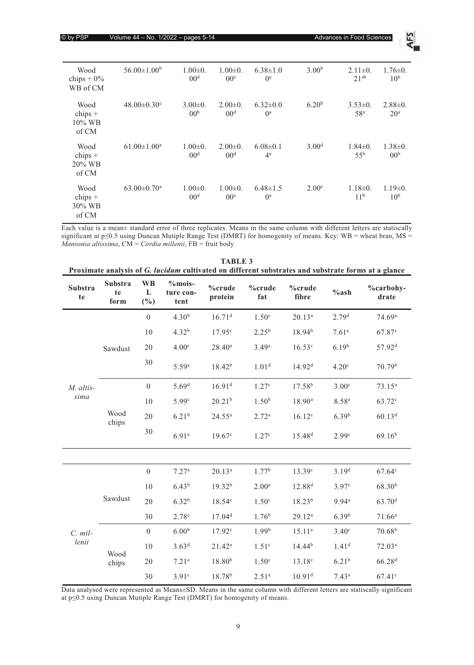#### © by PSP Volume 44 – No. 1/2022 – pages 5-14 Advances in Food Sciences

| Wood<br>chips $+0\%$<br>WB of CM        | $56.00 \pm 1.00^b$            | $1.00 \pm 0.$<br>00 <sup>d</sup> | $1.00 \pm 0.$<br>00 <sup>e</sup> | $6.38 \pm 1.0$<br>$0^a$ | 3.00 <sup>b</sup> | $2.11 \pm 0.$<br>$21^{ab}$       | $1.76 \pm 0.$<br>10 <sup>b</sup> |
|-----------------------------------------|-------------------------------|----------------------------------|----------------------------------|-------------------------|-------------------|----------------------------------|----------------------------------|
| Wood<br>$chips +$<br>$10\%$ WB<br>of CM | $48.00 \pm 0.30$ <sup>c</sup> | $3.00 \pm 0.$<br>00 <sup>b</sup> | $2.00 \pm 0.$<br>00 <sup>d</sup> | $6.32 \pm 0.0$<br>$0^a$ | 6.20 <sup>b</sup> | $3.53 \pm 0.$<br>58 <sup>a</sup> | $2.88\pm0.$<br>20 <sup>a</sup>   |
| Wood<br>$chips +$<br>$20\%$ WB<br>of CM | $61.00 \pm 1.00$ <sup>a</sup> | $1.00 \pm 0.$<br>00 <sup>d</sup> | $2.00 \pm 0.$<br>00 <sup>d</sup> | $6.08 \pm 0.1$<br>$4^a$ | 3.00 <sup>d</sup> | $1.84 \pm 0.$<br>55 <sup>b</sup> | $1.38 \pm 0.$<br>00 <sup>b</sup> |
| Wood<br>$chips +$<br>30% WB<br>of CM    | $63.00 \pm 0.70$ <sup>a</sup> | $1.00 \pm 0.$<br>00 <sup>d</sup> | $1.00 \pm 0.$<br>00 <sup>e</sup> | $6.48\pm1.5$<br>$0^a$   | 2.00 <sup>e</sup> | $1.18\pm 0.$<br>11 <sup>b</sup>  | $1.19\pm 0.$<br>10 <sup>b</sup>  |

Each value is a mean± standard error of three replicates. Means in the same column with different letters are statiscally significant at p≤0.5 using Duncan Mutiple Range Test (DMRT) for homogenity of means. Key: WB = wheat bran, MS = *Mansonia altissima*, CM = *Cordia millenii*, FB = fruit body

**TABLE 3**

| Proximate analysis of G. lucidum cultivated on different substrates and substrate forms at a glance |                              |                          |                               |                    |                   |                    |                   |                      |
|-----------------------------------------------------------------------------------------------------|------------------------------|--------------------------|-------------------------------|--------------------|-------------------|--------------------|-------------------|----------------------|
| <b>Substra</b><br>te                                                                                | <b>Substra</b><br>te<br>form | <b>WB</b><br>L<br>$(\%)$ | $%mois-$<br>ture con-<br>tent | %crude<br>protein  | %crude<br>fat     | %crude<br>fibre    | $%$ ash           | %carbohy-<br>drate   |
|                                                                                                     |                              | $\boldsymbol{0}$         | 4.30 <sup>b</sup>             | 16.71 <sup>d</sup> | 1.50 <sup>c</sup> | $20.13^{a}$        | 2.79 <sup>d</sup> | 74.69a               |
|                                                                                                     |                              | 10                       | 4.32 <sup>b</sup>             | 17.95c             | $2.25^{b}$        | $18.94^{b}$        | 7.61 <sup>a</sup> | 67.87 <sup>c</sup>   |
|                                                                                                     | Sawdust                      | 20                       | 4.00 <sup>c</sup>             | $28.40^{\rm a}$    | 3.49 <sup>a</sup> | $16.53^{\circ}$    | 6.19 <sup>b</sup> | 57.92 <sup>d</sup>   |
|                                                                                                     |                              | 30                       | $5.59^{a}$                    | $18.42^{b}$        | 1.01 <sup>d</sup> | 14.92 <sup>d</sup> | 4.20 <sup>c</sup> | 70.79 <sup>b</sup>   |
| M. altis-                                                                                           |                              | $\boldsymbol{0}$         | 5.69 <sup>d</sup>             | 16.91 <sup>d</sup> | 1.27 <sup>c</sup> | $17.58^{b}$        | 3.00 <sup>c</sup> | $73.15^a$            |
| sima                                                                                                |                              | 10                       | 5.99c                         | $20.21^{b}$        | 1.50 <sup>b</sup> | $18.90^{\rm a}$    | 8.58 <sup>a</sup> | 63.72 <sup>c</sup>   |
| Wood<br>chips                                                                                       |                              | 20                       | $6.21^{b}$                    | $24.55^a$          | $2.72^{a}$        | $16.12^c$          | $6.39^{b}$        | $60.13^{d}$          |
|                                                                                                     |                              | 30                       | 6.91 <sup>a</sup>             | 19.67c             | 1.27 <sup>c</sup> | 15.48 <sup>d</sup> | 2.99c             | $69.16^{b}$          |
|                                                                                                     |                              |                          |                               |                    |                   |                    |                   |                      |
|                                                                                                     |                              | $\boldsymbol{0}$         | 7.27 <sup>a</sup>             | $20.13^{a}$        | 1.77 <sup>b</sup> | 13.39c             | 3.19 <sup>d</sup> | 67.64 <sup>c</sup>   |
|                                                                                                     |                              | 10                       | $6.43^{b}$                    | $19.32^{b}$        | 2.00 <sup>a</sup> | 12.88 <sup>d</sup> | 3.97c             | 68.30 <sup>b</sup>   |
|                                                                                                     | Sawdust                      | 20                       | $6.32^{b}$                    | 18.54 <sup>c</sup> | 1.50 <sup>c</sup> | $18.23^{b}$        | 9.94 <sup>a</sup> | $63.70$ <sup>d</sup> |
|                                                                                                     |                              | 30                       | 2.78c                         | 17.04 <sup>d</sup> | 1.76 <sup>b</sup> | $29.12^{a}$        | 6.39 <sup>b</sup> | 71.66 <sup>a</sup>   |
| $C.$ mil-                                                                                           |                              | $\boldsymbol{0}$         | 6.00 <sup>b</sup>             | $17.92^c$          | 1.99 <sup>b</sup> | $15.11^{a}$        | 3.40 <sup>c</sup> | $70.68^{b}$          |
| lenii                                                                                               |                              | 10                       | 3.63 <sup>d</sup>             | $21.42^a$          | 1.51 <sup>c</sup> | $14.44^{b}$        | 1.41 <sup>d</sup> | 72.03 <sup>a</sup>   |
|                                                                                                     | Wood<br>chips                | 20                       | 7.21 <sup>a</sup>             | $18.80^{b}$        | 1.50 <sup>c</sup> | $13.18^c$          | $6.21^{b}$        | $66.28^{d}$          |
|                                                                                                     |                              | 30                       | 3.91c                         | 18.78 <sup>b</sup> | 2.51 <sup>a</sup> | 10.91 <sup>d</sup> | 7.43 <sup>a</sup> | 67.41c               |

Data analysed were represented as Means±SD. Means in the same column with different letters are statiscally significant at p≤0.5 using Duncan Mutiple Range Test (DMRT) for homogenity of means.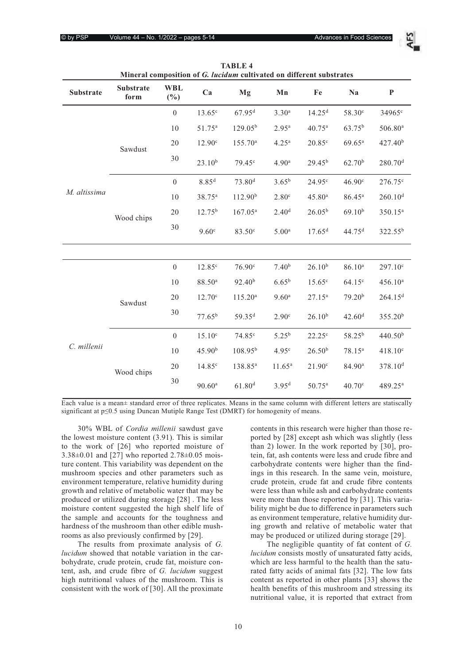| <b>Substrate</b> | Substrate<br>form | <b>WBL</b><br>$(\%)$ | Ca                 | Mg                  | Mn                | Fe                   | <b>Na</b>          | $\mathbf P$         |
|------------------|-------------------|----------------------|--------------------|---------------------|-------------------|----------------------|--------------------|---------------------|
|                  |                   | $\boldsymbol{0}$     | $13.65^{\circ}$    | 67.95 <sup>d</sup>  | $3.30^{a}$        | 14.25 <sup>d</sup>   | 58.30 <sup>c</sup> | 34965 <sup>c</sup>  |
|                  |                   | 10                   | 51.75 <sup>a</sup> | $129.05^{b}$        | $2.95^{a}$        | $40.75^{\rm a}$      | $63.75^{b}$        | 506.80 <sup>a</sup> |
|                  | Sawdust           | 20                   | 12.90 <sup>c</sup> | 155.70 <sup>a</sup> | 4.25 <sup>a</sup> | $20.85^\circ$        | $69.65^{a}$        | 427.40 <sup>b</sup> |
|                  |                   | 30                   | $23.10^{b}$        | 79.45 <sup>c</sup>  | 4.90 <sup>a</sup> | $29.45^{b}$          | 62.70 <sup>b</sup> | 280.70 <sup>d</sup> |
|                  |                   | $\boldsymbol{0}$     | 8.85 <sup>d</sup>  | 73.80 <sup>d</sup>  | $3.65^{b}$        | 24.95c               | 46.90c             | 276.75 <sup>c</sup> |
| M. altissima     | Wood chips        | 10                   | 38.75 <sup>a</sup> | 112.90 <sup>b</sup> | 2.80 <sup>c</sup> | 45.80a               | 86.45 <sup>a</sup> | 260.10 <sup>d</sup> |
|                  |                   | 20                   | $12.75^{b}$        | $167.05^a$          | 2.40 <sup>d</sup> | $26.05^{b}$          | $69.10^{b}$        | 350.15 <sup>a</sup> |
|                  |                   | 30                   | 9.60 <sup>c</sup>  | 83.50 <sup>c</sup>  | 5.00 <sup>a</sup> | $17.65$ <sup>d</sup> | 44.75 <sup>d</sup> | 322.55 <sup>b</sup> |
|                  |                   |                      |                    |                     |                   |                      |                    |                     |
|                  |                   | $\boldsymbol{0}$     | $12.85^{\circ}$    | 76.90 <sup>c</sup>  | 7.40 <sup>b</sup> | $26.10^{b}$          | $86.10^{a}$        | 297.10 <sup>c</sup> |
|                  |                   | 10                   | 88.50 <sup>a</sup> | 92.40 <sup>b</sup>  | $6.65^{b}$        | 15.65c               | $64.15^{\circ}$    | 456.10 <sup>a</sup> |
|                  | Sawdust           | 20                   | 12.70c             | $115.20^a$          | 9.60 <sup>a</sup> | $27.15^{a}$          | 79.20 <sup>b</sup> | 264.15 <sup>d</sup> |
|                  |                   | 30                   | $77.65^{b}$        | 59.35 <sup>d</sup>  | 2.90 <sup>c</sup> | $26.10^{b}$          | 42.60 <sup>d</sup> | 355.20 <sup>b</sup> |
|                  |                   | $\boldsymbol{0}$     | $15.10^c$          | 74.85 <sup>c</sup>  | $5.25^{b}$        | $22.25^{\circ}$      | 58.25 <sup>b</sup> | 440.50 <sup>b</sup> |
| C. millenii      |                   | 10                   | 45.90 <sup>b</sup> | $108.95^{b}$        | 4.95 <sup>c</sup> | $26.50^{b}$          | $78.15^{a}$        | $418.10^c$          |
|                  | Wood chips        | 20                   | $14.85^{\circ}$    | 138.85 <sup>a</sup> | $11.65^a$         | 21.90 <sup>c</sup>   | 84.90 <sup>a</sup> | 378.10 <sup>d</sup> |
|                  |                   | 30                   | 90.60 <sup>a</sup> | 61.80 <sup>d</sup>  | 3.95 <sup>d</sup> | $50.75^{\rm a}$      | 40.70 <sup>c</sup> | 489.25 <sup>a</sup> |

**TABLE 4 Mineral composition of** *G. lucidum* **cultivated on different substrates**

Each value is a mean± standard error of three replicates. Means in the same column with different letters are statiscally significant at p≤0.5 using Duncan Mutiple Range Test (DMRT) for homogenity of means.

30% WBL of *Cordia millenii* sawdust gave the lowest moisture content (3.91). This is similar to the work of [26] who reported moisture of 3.38 $\pm$ 0.01 and [27] who reported 2.78 $\pm$ 0.05 moisture content. This variability was dependent on the mushroom species and other parameters such as environment temperature, relative humidity during growth and relative of metabolic water that may be produced or utilized during storage [28] . The less moisture content suggested the high shelf life of the sample and accounts for the toughness and hardness of the mushroom than other edible mushrooms as also previously confirmed by [29].

The results from proximate analysis of *G. lucidum* showed that notable variation in the carbohydrate, crude protein, crude fat, moisture content, ash, and crude fibre of *G. lucidum* suggest high nutritional values of the mushroom. This is consistent with the work of [30]. All the proximate contents in this research were higher than those reported by [28] except ash which was slightly (less than 2) lower. In the work reported by [30], protein, fat, ash contents were less and crude fibre and carbohydrate contents were higher than the findings in this research. In the same vein, moisture, crude protein, crude fat and crude fibre contents were less than while ash and carbohydrate contents were more than those reported by [31]. This variability might be due to difference in parameters such as environment temperature, relative humidity during growth and relative of metabolic water that may be produced or utilized during storage [29].

The negligible quantity of fat content of *G. lucidum* consists mostly of unsaturated fatty acids, which are less harmful to the health than the saturated fatty acids of animal fats [32]. The low fats content as reported in other plants [33] shows the health benefits of this mushroom and stressing its nutritional value, it is reported that extract from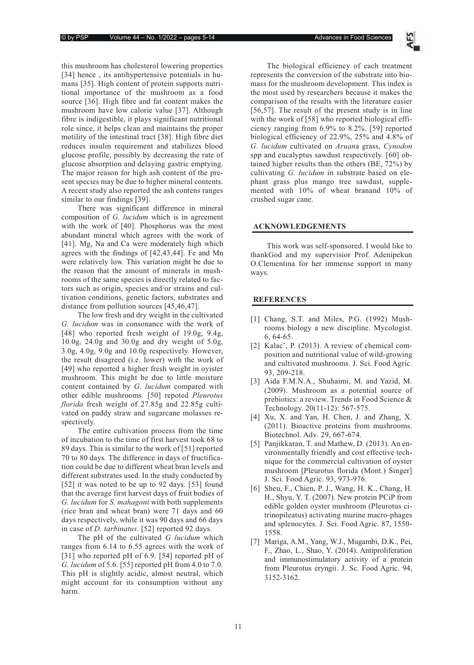this mushroom has cholesterol lowering properties [34] hence, its antihypertensive potentials in humans [35]. High content of protein supports nutritional importance of the mushroom as a food source [36]. High fibre and fat content makes the mushroom have low calorie value [37]. Although fibre is indigestible, it plays significant nutritional role since, it helps clean and maintains the proper motility of the intestinal tract [38]. High fibre diet reduces insulin requirement and stabilizes blood glucose profile, possibly by decreasing the rate of glucose absorption and delaying gastric emptying. The major reason for high ash content of the present species may be due to higher mineral contents. A recent study also reported the ash contens ranges similar to our findings [39].

There was significant difference in mineral composition of *G. lucidum* which is in agreement with the work of [40]. Phosphorus was the most abundant mineral which agrees with the work of [41]. Mg, Na and Ca were moderately high which agrees with the findings of [42,43,44]. Fe and Mn were relatively low. This variation might be due to the reason that the amount of minerals in mushrooms of the same species is directly related to factors such as origin, species and/or strains and cultivation conditions, genetic factors, substrates and distance from pollution sources [45,46,47].

The low fresh and dry weight in the cultivated *G. lucidum* was in consonance with the work of [48] who reported fresh weight of 19.0g, 9.4g, 10.0g, 24.0g and 30.0g and dry weight of 5.0g, 3.0g, 4.0g, 9.0g and 10.0g respectively. However, the result disagreed (i.e. lower) with the work of [49] who reported a higher fresh weight in oyister mushroom. This might be due to little moisture content contained by *G. lucidum* compared with other edible mushrooms. [50] repoted *Pleurotus florida* fresh weight of 27.85g and 22.85g cultivated on paddy straw and sugarcane molasses respectively.

The entire cultivation process from the time of incubation to the time of first harvest took 68 to 89 days. This is similar to the work of [51] reported 70 to 80 days. The difference in days of fructification could be due to different wheat bran levels and different substrates used. In the study conducted by [52] it was noted to be up to 92 days. [53] found that the average first harvest days of fruit bodies of *G. lucidum* for *S. mahagoni* with both supplements (rice bran and wheat bran) were 71 days and 60 days respectively, while it was 90 days and 66 days in case of *D. tarbinatus*. [52] reported 92 days.

The pH of the cultivated *G lucidum* which ranges from 6.14 to 6.55 agrees with the work of [31] who reported pH of 6.9. [54] reported pH of *G. lucidum* of 5.6. [55] reported pH from 4.0 to 7.0. This pH is slightly acidic, almost neutral, which might account for its consumption without any harm.

The biological efficiency of each treatment represents the conversion of the substrate into biomass for the mushroom development. This index is the most used by researchers because it makes the comparison of the results with the literature easier [56,57]. The result of the present study is in line with the work of [58] who reported biological efficiency ranging from 6.9% to 8.2%. [59] reported biological efficiency of 22.9%, 25% and 4.8% of *G. lucidum* cultivated on *Aruan*a grass, *Cynodon* spp and eucalyptus sawdust respectively. [60] obtained higher results than the others (BE, 72%) by cultivating *G. lucidum* in substrate based on elephant grass plus mango tree sawdust, supplemented with 10% of wheat branand 10% of crushed sugar cane.

#### **ACKNOWLEDGEMENTS**

This work was self-sponsored. I would like to thankGod and my supervisior Prof. Adenipekun O.Clementina for her immense support in many ways.

#### **REFERENCES**

- [1] Chang, S.T. and Miles, P.G. (1992) Mushrooms biology a new discipline. Mycologist. 6, 64-65.
- [2] Kalac<sup>x</sup>, P. (2013). A review of chemical composition and nutritional value of wild-growing and cultivated mushrooms. J. Sci. Food Agric. 93, 209-218.
- [3] Aida F.M.N.A., Shuhaimi, M. and Yazid, M. (2009). Mushroom as a potential source of prebiotics: a review. Trends in Food Science & Technology. 20(11-12): 567-575.
- [4] Xu, X. and Yan, H. Chen, J. and Zhang, X. (2011). Bioactive proteins from mushrooms. Biotechnol. Adv. 29, 667-674.
- [5] Panjikkaran, T. and Mathew, D. (2013). An environmentally friendly and cost effective technique for the commercial cultivation of oyster mushroom [Pleurotus florida (Mont.) Singer] J. Sci. Food Agric. 93, 973-976.
- [6] Sheu, F., Chien, P. J., Wang, H. K., Chang, H. H., Shyu, Y. T. (2007). New protein PCiP from edible golden oyster mushroom (Pleurotus citrinopileatus) activating murine macro-phages and splenocytes. J. Sci. Food Agric. 87, 1550- 1558.
- [7] Mariga, A.M., Yang, W.J., Mugambi, D.K., Pei, F., Zhao, L., Shao, Y. (2014). Antiproliferation and immunostimulatory activity of a protein from Pleurotus eryngii. J. Sc. Food Agric. 94, 3152-3162.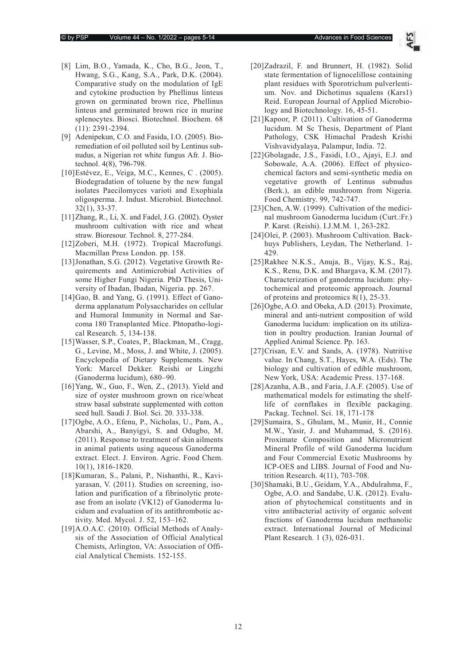- [8] Lim, B.O., Yamada, K., Cho, B.G., Jeon, T., Hwang, S.G., Kang, S.A., Park, D.K. (2004). Comparative study on the modulation of IgE and cytokine production by Phellinus linteus grown on germinated brown rice, Phellinus linteus and germinated brown rice in murine splenocytes. Biosci. Biotechnol. Biochem. 68 (11): 2391-2394.
- [9] Adenipekun, C.O. and Fasida, I.O. (2005). Bioremediation of oil polluted soil by Lentinus subnudus, a Nigerian rot white fungus Afr. J. Biotechnol. 4(8), 796-798.
- [10]Estévez, E., Veiga, M.C., Kennes, C . (2005). Biodegradation of toluene by the new fungal isolates Paecilomyces varioti and Exophiala oligosperma. J. Indust. Microbiol. Biotechnol. 32(1), 33-37.
- [11]Zhang, R., Li, X. and Fadel, J.G. (2002). Oyster mushroom cultivation with rice and wheat straw. Bioresour. Technol. 8, 277-284.
- [12]Zoberi, M.H. (1972). Tropical Macrofungi. Macmillan Press London. pp. 158.
- [13]Jonathan, S.G. (2012). Vegetative Growth Requirements and Antimicrobial Activities of some Higher Fungi Nigeria. PhD Thesis, University of Ibadan, Ibadan, Nigeria. pp. 267.
- [14]Gao, B. and Yang, G. (1991). Effect of Ganoderma applanatum Polysaccharides on cellular and Humoral Immunity in Normal and Sarcoma 180 Transplanted Mice. Phtopatho-logical Research. 5, 134-138.
- [15]Wasser, S.P., Coates, P., Blackman, M., Cragg, G., Levine, M., Moss, J. and White, J. (2005). Encyclopedia of Dietary Supplements. New York: Marcel Dekker. Reishi or Lingzhi (Ganoderma lucidum), 680–90.
- [16]Yang, W., Guo, F., Wen, Z., (2013). Yield and size of oyster mushroom grown on rice/wheat straw basal substrate supplemented with cotton seed hull. Saudi J. Biol. Sci. 20. 333-338.
- [17]Ogbe, A.O., Efenu, P., Nicholas, U., Pam, A., Abarshi, A., Banyigyi, S. and Odugbo, M. (2011). Response to treatment of skin ailments in animal patients using aqueous Ganoderma extract. Elect. J. Environ. Agric. Food Chem. 10(1), 1816-1820.
- [18]Kumaran, S., Palani, P., Nishanthi, R., Kaviyarasan, V. (2011). Studies on screening, isolation and purification of a fibrinolytic protease from an isolate (VK12) of Ganoderma lucidum and evaluation of its antithrombotic activity. Med. Mycol. J. 52, 153–162.
- [19]A.O.A.C. (2010). Official Methods of Analysis of the Association of Official Analytical Chemists, Arlington, VA: Association of Official Analytical Chemists. 152-155.
- [20]Zadrazil, F. and Brunnert, H. (1982). Solid state fermentation of lignocelillose containing plant residues with Sporotrichum pulverlentium. Nov. and Dichotinus squalens (Kars1) Reid. European Journal of Applied Microbiology and Biotechnology. 16, 45-51.
- [21]Kapoor, P. (2011). Cultivation of Ganoderma lucidum. M Sc Thesis, Department of Plant Pathology, CSK Himachal Pradesh Krishi Vishvavidyalaya, Palampur, India. 72.
- [22]Gbolagade, J.S., Fasidi, I.O., Ajayi, E.J. and Sobowale, A.A. (2006). Effect of physicochemical factors and semi-synthetic media on vegetative growth of Lentinus subnudus (Berk.), an edible mushroom from Nigeria. Food Chemistry. 99, 742-747.
- [23]Chen, A.W. (1999). Cultivation of the medicinal mushroom Ganoderma lucidum (Curt.:Fr.) P. Karst. (Reishi). I.J.M.M. 1, 263-282.
- [24]Olei, P. (2003). Mushroom Cultivation. Backhuys Publishers, Leydan, The Netherland. 1- 429.
- [25]Rakhee N.K.S., Anuja, B., Vijay, K.S., Raj, K.S., Renu, D.K. and Bhargava, K.M. (2017). Characterization of ganoderma lucidum: phytochemical and proteomic approach. Journal of proteins and proteomics 8(1), 25-33.
- [26]Ogbe, A.O. and Obeka, A.D. (2013). Proximate, mineral and anti-nutrient composition of wild Ganoderma lucidum: implication on its utilization in poultry production. Iranian Journal of Applied Animal Science. Pp. 163.
- [27]Crisan, E.V. and Sands, A. (1978). Nutritive value. In Chang, S.T., Hayes, W.A. (Eds). The biology and cultivation of edible mushroom, New York, USA: Academic Press. 137-168.
- [28]Azanha, A.B., and Faria, J.A.F. (2005). Use of mathematical models for estimating the shelflife of cornflakes in flexible packaging. Packag. Technol. Sci. 18, 171-178
- [29]Sumaira, S., Ghulam, M., Munir, H., Connie M.W., Yasir, J. and Muhammad, S. (2016). Proximate Composition and Micronutrient Mineral Profile of wild Ganoderma lucidum and Four Commercial Exotic Mushrooms by ICP-OES and LIBS. Journal of Food and Nutrition Research. 4(11), 703-708.
- [30]Shamaki, B.U., Geidam, Y.A., Abdulrahma, F., Ogbe, A.O. and Sandabe, U.K. (2012). Evaluation of phytochemical constituents and in vitro antibacterial activity of organic solvent fractions of Ganoderma lucidum methanolic extract. International Journal of Medicinal Plant Research. 1 (3), 026-031.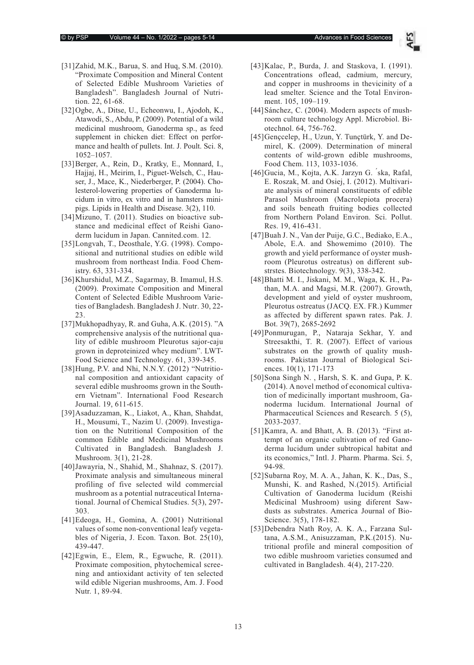- [31]Zahid, M.K., Barua, S. and Huq, S.M. (2010). "Proximate Composition and Mineral Content of Selected Edible Mushroom Varieties of Bangladesh". Bangladesh Journal of Nutrition. 22, 61-68.
- [32]Ogbe, A., Ditse, U., Echeonwu, I., Ajodoh, K., Atawodi, S., Abdu, P. (2009). Potential of a wild medicinal mushroom, Ganoderma sp., as feed supplement in chicken diet: Effect on performance and health of pullets. Int. J. Poult. Sci. 8, 1052–1057.
- [33]Berger, A., Rein, D., Kratky, E., Monnard, I., Hajjaj, H., Meirim, I., Piguet-Welsch, C., Hauser, J., Mace, K., Niederberger, P. (2004). Cholesterol-lowering properties of Ganoderma lucidum in vitro, ex vitro and in hamsters minipigs. Lipids in Health and Disease. 3(2), 110.
- [34]Mizuno, T. (2011). Studies on bioactive substance and medicinal effect of Reishi Ganoderm lucidum in Japan. Cannited.com. 12.
- [35]Longvah, T., Deosthale, Y.G. (1998). Compositional and nutritional studies on edible wild mushroom from northeast India. Food Chemistry. 63, 331-334.
- [36]Khurshidul, M.Z., Sagarmay, B. Imamul, H.S. (2009). Proximate Composition and Mineral Content of Selected Edible Mushroom Varieties of Bangladesh. Bangladesh J. Nutr. 30, 22- 23.
- [37]Mukhopadhyay, R. and Guha, A.K. (2015). "A comprehensive analysis of the nutritional quality of edible mushroom Pleurotus sajor-caju grown in deproteinized whey medium". LWT-Food Science and Technology. 61, 339-345.
- [38]Hung, P.V. and Nhi, N.N.Y. (2012) "Nutritional composition and antioxidant capacity of several edible mushrooms grown in the Southern Vietnam". International Food Research Journal. 19, 611-615.
- [39]Asaduzzaman, K., Liakot, A., Khan, Shahdat, H., Mousumi, T., Nazim U. (2009). Investigation on the Nutritional Composition of the common Edible and Medicinal Mushrooms Cultivated in Bangladesh. Bangladesh J. Mushroom. 3(1), 21-28.
- [40]Jawayria, N., Shahid, M., Shahnaz, S. (2017). Proximate analysis and simultaneous mineral profiling of five selected wild commercial mushroom as a potential nutraceutical International. Journal of Chemical Studies. 5(3), 297- 303.
- [41]Edeoga, H., Gomina, A. (2001) Nutritional values of some non-conventional leafy vegetables of Nigeria, J. Econ. Taxon. Bot. 25(10), 439-447.
- [42]Egwin, E., Elem, R., Egwuche, R. (2011). Proximate composition, phytochemical screening and antioxidant activity of ten selected wild edible Nigerian mushrooms, Am. J. Food Nutr. 1, 89-94.
- [43]Kalac, P., Burda, J. and Staskova, I. (1991). Concentrations oflead, cadmium, mercury, and copper in mushrooms in thevicinity of a lead smelter. Science and the Total Environment. 105, 109–119.
- [44]Sánchez, C. (2004). Modern aspects of mushroom culture technology Appl. Microbiol. Biotechnol. 64, 756-762.
- [45]Gençcelep, H., Uzun, Y. Tunçtürk, Y. and Demirel, K. (2009). Determination of mineral contents of wild-grown edible mushrooms, Food Chem. 113, 1033-1036.
- [46]Gucia, M., Kojta, A.K. Jarzyn G. ́ska, Rafal, E. Roszak, M. and Osiej, I. (2012). Multivariate analysis of mineral constituents of edible Parasol Mushroom (Macrolepiota procera) and soils beneath fruiting bodies collected from Northern Poland Environ. Sci. Pollut. Res. 19, 416-431.
- [47]Buah J. N., Van der Puije, G.C., Bediako, E.A., Abole, E.A. and Showemimo (2010). The growth and yield performance of oyster mushroom (Pleurotus ostreatus) on different substrstes. Biotechnology. 9(3), 338-342.
- [48]Bhatti M. I., Jiskani, M. M., Waga, K. H., Pathan, M.A. and Magsi, M.R. (2007). Growth, development and yield of oyster mushroom, Pleurotus ostreatus (JACQ. EX. FR.) Kummer as affected by different spawn rates. Pak. J. Bot. 39(7), 2685-2692
- [49]Ponmurugan, P., Nataraja Sekhar, Y. and Streesakthi, T. R. (2007). Effect of various substrates on the growth of quality mushrooms. Pakistan Journal of Biological Sciences. 10(1), 171-173
- [50]Sona Singh N. , Harsh, S. K. and Gupa, P. K. (2014). A novel method of economical cultivation of medicinally important mushroom, Ganoderma lucidum. International Journal of Pharmaceutical Sciences and Research. 5 (5), 2033-2037.
- [51]Kamra, A. and Bhatt, A. B. (2013). "First attempt of an organic cultivation of red Ganoderma lucidum under subtropical habitat and its economics," Intl. J. Pharm. Pharma. Sci. 5, 94-98.
- [52]Subarna Roy, M. A. A., Jahan, K. K., Das, S., Munshi, K. and Rashed, N.(2015). Artificial Cultivation of Ganoderma lucidum (Reishi Medicinal Mushroom) using diferent Sawdusts as substrates. America Journal of Bio-Science. 3(5), 178-182.
- [53]Debendra Nath Roy, A. K. A., Farzana Sultana, A.S.M., Anisuzzaman, P.K.(2015). Nutritional profile and mineral composition of two edible mushroom varieties consumed and cultivated in Bangladesh. 4(4), 217-220.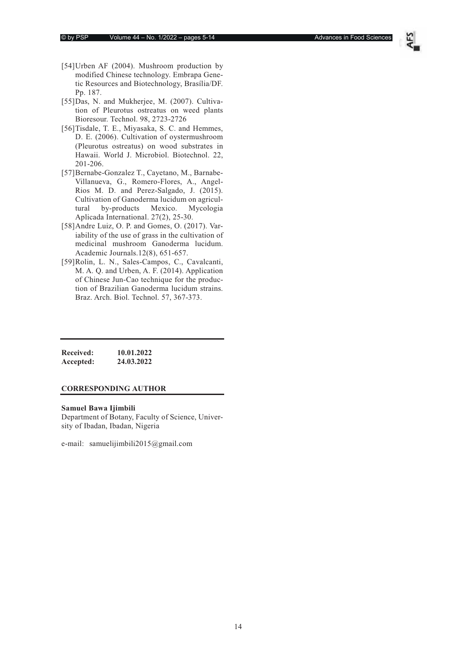- [54]Urben AF (2004). Mushroom production by modified Chinese technology. Embrapa Genetic Resources and Biotechnology, Brasília/DF. Pp. 187.
- [55]Das, N. and Mukherjee, M. (2007). Cultivation of Pleurotus ostreatus on weed plants Bioresour. Technol. 98, 2723-2726
- [56]Tisdale, T. E., Miyasaka, S. C. and Hemmes, D. E. (2006). Cultivation of oystermushroom (Pleurotus ostreatus) on wood substrates in Hawaii. World J. Microbiol. Biotechnol. 22, 201-206.
- [57]Bernabe-Gonzalez T., Cayetano, M., Barnabe-Villanueva, G., Romero-Flores, A., Angel-Rios M. D. and Perez-Salgado, J. (2015). Cultivation of Ganoderma lucidum on agricultural by-products Mexico. Mycologia Aplicada International. 27(2), 25-30.
- [58]Andre Luiz, O. P. and Gomes, O. (2017). Variability of the use of grass in the cultivation of medicinal mushroom Ganoderma lucidum. Academic Journals.12(8), 651-657.
- [59]Rolin, L. N., Sales-Campos, C., Cavalcanti, M. A. Q. and Urben, A. F. (2014). Application of Chinese Jun-Cao technique for the production of Brazilian Ganoderma lucidum strains. Braz. Arch. Biol. Technol. 57, 367-373.

| Received: | 10.01.2022 |
|-----------|------------|
| Accepted: | 24.03.2022 |

#### **CORRESPONDING AUTHOR**

#### **Samuel Bawa Ijimbili**

Department of Botany, Faculty of Science, University of Ibadan, Ibadan, Nigeria

e-mail: samuelijimbili2015@gmail.com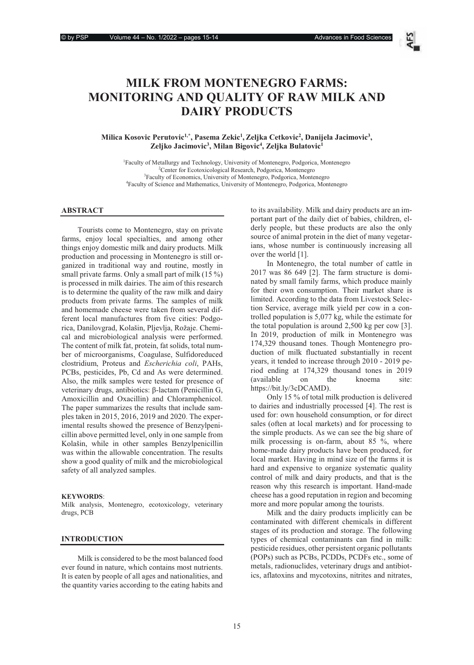

## **MILK FROM MONTENEGRO FARMS: MONITORING AND QUALITY OF RAW MILK AND DAIRY PRODUCTS**

**Milica Kosovic Perutovic1,\*, Pasema Zekic1 , Zeljka Cetkovic2 , Danijela Jacimovic3 , Zeljko Jacimovic3 , Milan Bigovic4 , Zeljka Bulatovic1**

<sup>1</sup>Faculty of Metallurgy and Technology, University of Montenegro, Podgorica, Montenegro 2 Center for Ecotoxicological Research, Podgorica, Montenegro <sup>3</sup>Faculty of Economics, University of Montenegro, Podgorica, Montenegro 4 Faculty of Science and Mathematics, University of Montenegro, Podgorica, Montenegro

#### **ABSTRACT**

Tourists come to Montenegro, stay on private farms, enjoy local specialties, and among other things enjoy domestic milk and dairy products. Milk production and processing in Montenegro is still organized in traditional way and routine, mostly in small private farms. Only a small part of milk (15 %) is processed in milk dairies. The aim of this research is to determine the quality of the raw milk and dairy products from private farms. The samples of milk and homemade cheese were taken from several different local manufactures from five cities: Podgorica, Danilovgrad, Kolašin, Pljevlja, Rožaje. Chemical and microbiological analysis were performed. The content of milk fat, protein, fat solids, total number of microorganisms, Coagulase, Sulfidoreduced clostridium, Proteus and *Escherichia coli*, PAHs, PCBs, pesticides, Pb, Cd and As were determined. Also, the milk samples were tested for presence of veterinary drugs, antibiotics: β-lactam (Penicillin G, Amoxicillin and Oxacillin) and Chloramphenicol. The paper summarizes the results that include samples taken in 2015, 2016, 2019 and 2020. The experimental results showed the presence of Benzylpenicillin above permitted level, only in one sample from Kolašin, while in other samples Benzylpenicillin was within the allowable concentration. The results show a good quality of milk and the microbiological safety of all analyzed samples.

#### **KEYWORDS**:

Milk analysis, Montenegro, ecotoxicology, veterinary drugs, PCB

#### **INTRODUCTION**

Milk is considered to be the most balanced food ever found in nature, which contains most nutrients. It is eaten by people of all ages and nationalities, and the quantity varies according to the eating habits and to its availability. Milk and dairy products are an important part of the daily diet of babies, children, elderly people, but these products are also the only source of animal protein in the diet of many vegetarians, whose number is continuously increasing all over the world [1].

In Montenegro, the total number of cattle in 2017 was 86 649 [2]. The farm structure is dominated by small family farms, which produce mainly for their own consumption. Their market share is limited. According to the data from Livestock Selection Service, average milk yield per cow in a controlled population is 5,077 kg, while the estimate for the total population is around 2,500 kg per cow [3]. In 2019, production of milk in Montenegro was 174,329 thousand tones. Though Montenegro production of milk fluctuated substantially in recent years, it tended to increase through 2010 - 2019 period ending at 174,329 thousand tones in 2019 (available on the knoema site: https://bit.ly/3cDCAMD).

Only 15 % of total milk production is delivered to dairies and industrially processed [4]. The rest is used for: own household consumption, or for direct sales (often at local markets) and for processing to the simple products. As we can see the big share of milk processing is on-farm, about 85 %, where home-made dairy products have been produced, for local market. Having in mind size of the farms it is hard and expensive to organize systematic quality control of milk and dairy products, and that is the reason why this research is important. Hand-made cheese has a good reputation in region and becoming more and more popular among the tourists.

Milk and the dairy products implicitly can be contaminated with different chemicals in different stages of its production and storage. The following types of chemical contaminants can find in milk: pesticide residues, other persistent organic pollutants (POPs) such as PCBs, PCDDs, PCDFs etc., some of metals, radionuclides, veterinary drugs and antibiotics, aflatoxins and mycotoxins, nitrites and nitrates,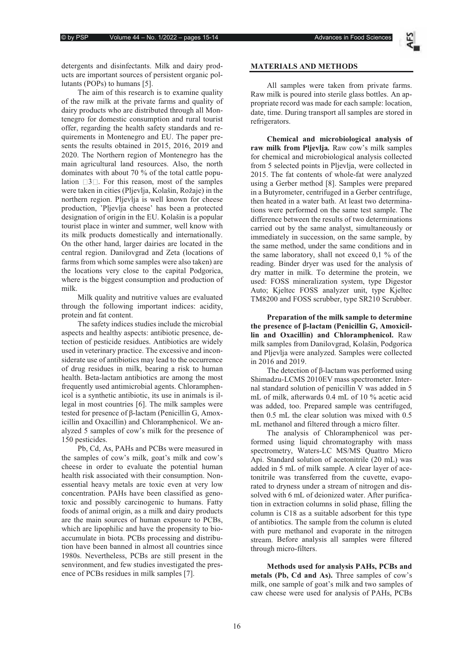detergents and disinfectants. Milk and dairy products are important sources of persistent organic pollutants (POPs) to humans [5].

The aim of this research is to examine quality of the raw milk at the private farms and quality of dairy products who are distributed through all Montenegro for domestic consumption and rural tourist offer, regarding the health safety standards and requirements in Montenegro and EU. The paper presents the results obtained in 2015, 2016, 2019 and 2020. The Northern region of Montenegro has the main agricultural land resources. Also, the north dominates with about 70 % of the total cattle population  $\Box$ 3 $\Box$ . For this reason, most of the samples were taken in cities (Pljevlja, Kolašin, Rožaje) in the northern region. Pljevlja is well known for cheese production, 'Pljevlja cheese' has been a protected designation of origin in the EU. Kolašin is a popular tourist place in winter and summer, well know with its milk products domestically and internationally. On the other hand, larger dairies are located in the central region. Danilovgrad and Zeta (locations of farms from which some samples were also taken) are the locations very close to the capital Podgorica, where is the biggest consumption and production of milk.

Milk quality and nutritive values are evaluated through the following important indices: acidity, protein and fat content.

The safety indices studies include the microbial aspects and healthy aspects: antibiotic presence, detection of pesticide residues. Antibiotics are widely used in veterinary practice. The excessive and inconsiderate use of antibiotics may lead to the occurrence of drug residues in milk, bearing a risk to human health. Beta-lactam antibiotics are among the most frequently used antimicrobial agents. Chloramphenicol is a synthetic antibiotic, its use in animals is illegal in most countries [6]. The milk samples were tested for presence of β-lactam (Penicillin G, Amoxicillin and Oxacillin) and Chloramphenicol. We analyzed 5 samples of cow's milk for the presence of 150 pesticides.

Pb, Cd, As, PAHs and PCBs were measured in the samples of cow's milk, goat's milk and cow's cheese in order to evaluate the potential human health risk associated with their consumption. Nonessential heavy metals are toxic even at very low concentration. PAHs have been classified as genotoxic and possibly carcinogenic to humans. Fatty foods of animal origin, as a milk and dairy products are the main sources of human exposure to PCBs, which are lipophilic and have the propensity to bioaccumulate in biota. PCBs processing and distribution have been banned in almost all countries since 1980s. Nevertheless, PCBs are still present in the senvironment, and few studies investigated the presence of PCBs residues in milk samples [7].

#### **MATERIALS AND METHODS**

All samples were taken from private farms. Raw milk is poured into sterile glass bottles. An appropriate record was made for each sample: location, date, time. During transport all samples are stored in refrigerators.

**Chemical and microbiological analysis of raw milk from Pljevlja***.* Raw cow's milk samples for chemical and microbiological analysis collected from 5 selected points in Pljevlja, were collected in 2015. The fat contents of whole-fat were analyzed using a Gerber method [8]. Samples were prepared in a Butyrometer, centrifuged in a Gerber centrifuge, then heated in a water bath. At least two determinations were performed on the same test sample. The difference between the results of two determinations carried out by the same analyst, simultaneously or immediately in succession, on the same sample, by the same method, under the same conditions and in the same laboratory, shall not exceed 0,1 % of the reading. Binder dryer was used for the analysis of dry matter in milk. To determine the protein, we used: FOSS mineralization system, type Digestor Auto; Kjeltec FOSS analyzer unit, type Kjeltec TM8200 and FOSS scrubber, type SR210 Scrubber.

**Preparation of the milk sample to determine the presence of β-lactam (Penicillin G, Amoxicillin and Oxacillin) and Chloramphenicol.** Raw milk samples from Danilovgrad, Kolašin, Podgorica and Pljevlja were analyzed. Samples were collected in 2016 and 2019.

The detection of β-lactam was performed using Shimadzu-LCMS 2010EV mass spectrometer. Internal standard solution of penicillin V was added in 5 mL of milk, afterwards 0.4 mL of 10 % acetic acid was added, too. Prepared sample was centrifuged, then 0.5 mL the clear solution was mixed with 0.5 mL methanol and filtered through a micro filter.

The analysis of Chloramphenicol was performed using liquid chromatography with mass spectrometry, Waters-LC MS/MS Quattro Micro Api. Standard solution of acetonitrile (20 mL) was added in 5 mL of milk sample. A clear layer of acetonitrile was transferred from the cuvette, evaporated to dryness under a stream of nitrogen and dissolved with 6 mL of deionized water. After purification in extraction columns in solid phase, filling the column is C18 as a suitable adsorbent for this type of antibiotics. The sample from the column is eluted with pure methanol and evaporate in the nitrogen stream. Before analysis all samples were filtered through micro-filters.

**Methods used for analysis PAHs, PCBs and metals (Pb, Cd and As).** Three samples of cow's milk, one sample of goat's milk and two samples of caw cheese were used for analysis of PAHs, PCBs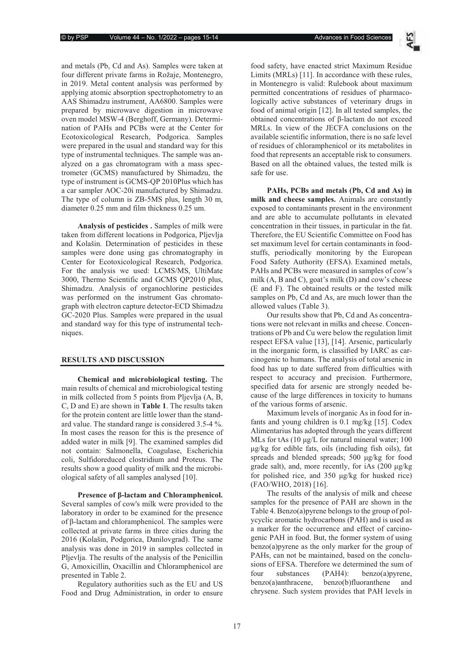and metals (Pb, Cd and As). Samples were taken at four different private farms in Rožaje, Montenegro, in 2019. Metal content analysis was performed by applying atomic absorption spectrophotometry to an AAS Shimadzu instrument, AA6800. Samples were prepared by microwave digestion in microwave oven model MSW-4 (Berghoff, Germany). Determination of PAHs and PCBs were at the Center for Ecotoxicological Research, Podgorica. Samples were prepared in the usual and standard way for this type of instrumental techniques. The sample was analyzed on a gas chromatogram with a mass spectrometer (GCMS) manufactured by Shimadzu, the type of instrument is GCMS-QP 2010Plus which has a car sampler AOC-20i manufactured by Shimadzu. The type of column is ZB-5MS plus, length 30 m, diameter 0.25 mm and film thickness 0.25 um.

**Analysis of pesticides .** Samples of milk were taken from different locations in Podgorica, Pljevlja and Kolašin. Determination of pesticides in these samples were done using gas chromatography in Center for Ecotoxicological Research, Podgorica. For the analysis we used: LCMS/MS, UltiMate 3000, Thermo Scientific and GCMS QP2010 plus, Shimadzu. Analysis of organochlorine pesticides was performed on the instrument Gas chromatograph with electron capture detector-ECD Shimadzu GC-2020 Plus. Samples were prepared in the usual and standard way for this type of instrumental techniques.

#### **RESULTS AND DISCUSSION**

**Chemical and microbiological testing.** The main results of chemical and microbiological testing in milk collected from 5 points from Pljevlja (A, B, C, D and E) are shown in **Table 1**. The results taken for the protein content are little lower than the standard value. The standard range is considered 3.5-4 %. In most cases the reason for this is the presence of added water in milk [9]. The examined samples did not contain: Salmonella, Coagulase, Escherichia coli, Sulfidoreduced clostridium and Proteus. The results show a good quality of milk and the microbiological safety of all samples analysed [10].

**Presence of β-lactam and Chloramphenicol.** Several samples of cow's milk were provided to the laboratory in order to be examined for the presence of β-lactam and chloramphenicol. The samples were collected at private farms in three cities during the 2016 (Kolašin, Podgorica, Danilovgrad). The same analysis was done in 2019 in samples collected in Pljevlja. The results of the analysis of the Penicillin G, Amoxicillin, Oxacillin and Chloramphenicol are presented in Table 2.

Regulatory authorities such as the EU and US Food and Drug Administration, in order to ensure

food safety, have enacted strict Maximum Residue Limits (MRLs) [11]. In accordance with these rules, in Montenegro is valid: Rulebook about maximum permitted concentrations of residues of pharmacologically active substances of veterinary drugs in food of animal origin [12]. In all tested samples, the obtained concentrations of β-lactam do not exceed MRLs. In view of the JECFA conclusions on the available scientific information, there is no safe level of residues of chloramphenicol or its metabolites in food that represents an acceptable risk to consumers. Based on all the obtained values, the tested milk is safe for use.

**PAHs, PCBs and metals (Pb, Cd and As) in milk and cheese samples.** Animals are constantly exposed to contaminants present in the environment and are able to accumulate pollutants in elevated concentration in their tissues, in particular in the fat. Therefore, the EU Scientific Committee on Food has set maximum level for certain contaminants in foodstuffs, periodically monitoring by the European Food Safety Authority (EFSA). Examined metals, PAHs and PCBs were measured in samples of cow's milk (A, B and C), goat's milk (D) and cow's cheese (E and F). The obtained results or the tested milk samples on Pb, Cd and As, are much lower than the allowed values (Table 3).

Our results show that Pb, Cd and As concentrations were not relevant in milks and cheese. Concentrations of Pb and Cu were below the regulation limit respect EFSA value [13], [14]. Arsenic, particularly in the inorganic form, is classified by IARC as carcinogenic to humans. The analysis of total arsenic in food has up to date suffered from difficulties with respect to accuracy and precision. Furthermore, specified data for arsenic are strongly needed because of the large differences in toxicity to humans of the various forms of arsenic.

Maximum levels of inorganic As in food for infants and young children is 0.1 mg/kg [15]. Codex Alimentarius has adopted through the years different MLs for tAs (10 μg/L for natural mineral water; 100 μg/kg for edible fats, oils (including fish oils), fat spreads and blended spreads; 500 μg/kg for food grade salt), and, more recently, for iAs (200 μg/kg for polished rice, and 350 μg/kg for husked rice) (FAO/WHO, 2018) [16].

The results of the analysis of milk and cheese samples for the presence of PAH are shown in the Table 4. Benzo(a)pyrene belongs to the group of polycyclic aromatic hydrocarbons (PAH) and is used as a marker for the occurrence and effect of carcinogenic PAH in food. But, the former system of using benzo(a)pyrene as the only marker for the group of PAHs, can not be maintained, based on the conclusions of EFSA. Therefore we determined the sum of four substances (PAH4): benzo(a)pyrene, benzo(a)anthracene, benzo(b)fluoranthene and chrysene. Such system provides that PAH levels in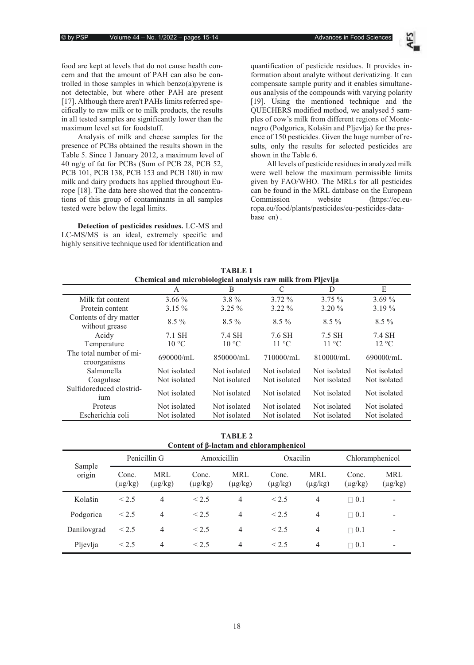food are kept at levels that do not cause health concern and that the amount of PAH can also be controlled in those samples in which benzo(a)pyrene is not detectable, but where other PAH are present [17]. Although there aren't PAHs limits referred specifically to raw milk or to milk products, the results in all tested samples are significantly lower than the maximum level set for foodstuff.

Analysis of milk and cheese samples for the presence of PCBs obtained the results shown in the Table 5. Since 1 January 2012, a maximum level of 40 ng/g of fat for PCBs (Sum of PCB 28, PCB 52, PCB 101, PCB 138, PCB 153 and PCB 180) in raw milk and dairy products has applied throughout Europe [18]. The data here showed that the concentrations of this group of contaminants in all samples tested were below the legal limits.

**Detection of pesticides residues.** LC-MS and LC-MS/MS is an ideal, extremely specific and highly sensitive technique used for identification and

quantification of pesticide residues. It provides information about analyte without derivatizing. It can compensate sample purity and it enables simultaneous analysis of the compounds with varying polarity [19]. Using the mentioned technique and the QUECHERS modified method, we analysed 5 samples of cow's milk from different regions of Montenegro (Podgorica, Kolašin and Pljevlja) for the presence of 150 pesticides. Given the huge number of results, only the results for selected pesticides are shown in the Table 6.

All levels of pesticide residues in analyzed milk were well below the maximum permissible limits given by FAO/WHO. The MRLs for all pesticides can be found in the MRL database on the European Commission website (https://ec.europa.eu/food/plants/pesticides/eu-pesticides-database en).

| тарыз т                                                      |                |                |                |                |                 |  |  |  |
|--------------------------------------------------------------|----------------|----------------|----------------|----------------|-----------------|--|--|--|
| Chemical and microbiological analysis raw milk from Pljevlja |                |                |                |                |                 |  |  |  |
|                                                              | A              | B              |                | D              | E               |  |  |  |
| Milk fat content                                             | $3.66\%$       | $3.8\%$        | $3.72\%$       | $3.75\%$       | $3.69\%$        |  |  |  |
| Protein content                                              | $3.15\%$       | $3.25\%$       | $3.22\%$       | $3.20\%$       | $3.19\%$        |  |  |  |
| Contents of dry matter<br>without grease                     | $8.5\%$        | $8.5\%$        | $8.5\%$        | $8.5\%$        | $8.5\%$         |  |  |  |
| Acidy                                                        | 7.1 SH         | 7.4 SH         | 7.6 SH         | 7.5 SH         | 7.4 SH          |  |  |  |
| Temperature                                                  | $10^{\circ}$ C | $10^{\circ}$ C | $11^{\circ}$ C | $11^{\circ}$ C | $12 \text{ °C}$ |  |  |  |
| The total number of mi-<br>croorganisms                      | 690000/mL      | 850000/mL      | 710000/mL      | 810000/mL      | 690000/mL       |  |  |  |
| Salmonella                                                   | Not isolated   | Not isolated   | Not isolated   | Not isolated   | Not isolated    |  |  |  |
| Coagulase                                                    | Not isolated   | Not isolated   | Not isolated   | Not isolated   | Not isolated    |  |  |  |
| Sulfidoreduced clostrid-<br>1um                              | Not isolated   | Not isolated   | Not isolated   | Not isolated   | Not isolated    |  |  |  |
| Proteus                                                      | Not isolated   | Not isolated   | Not isolated   | Not isolated   | Not isolated    |  |  |  |
| Escherichia coli                                             | Not isolated   | Not isolated   | Not isolated   | Not isolated   | Not isolated    |  |  |  |

**TABLE 1**

**TABLE 2 Content of β-lactam and chloramphenicol**

| Content of p factain and emoramphemeor |                       |                             |                       |                            |                       |                            |                       |                              |  |
|----------------------------------------|-----------------------|-----------------------------|-----------------------|----------------------------|-----------------------|----------------------------|-----------------------|------------------------------|--|
|                                        |                       | Penicillin G<br>Amoxicillin |                       |                            | Oxacilin              |                            |                       | Chloramphenicol              |  |
| Sample<br>origin                       | Conc.<br>$(\mu g/kg)$ | <b>MRL</b><br>$(\mu g/kg)$  | Conc.<br>$(\mu g/kg)$ | <b>MRL</b><br>$(\mu g/kg)$ | Conc.<br>$(\mu g/kg)$ | <b>MRL</b><br>$(\mu g/kg)$ | Conc.<br>$(\mu g/kg)$ | <b>MRL</b><br>$(\mu g/kg)$   |  |
| Kolašin                                | < 2.5                 | 4                           | < 2.5                 | 4                          | < 2.5                 | $\overline{4}$             | $\Box$ 0.1            | -                            |  |
| Podgorica                              | < 2.5                 | 4                           | < 2.5                 | 4                          | < 2.5                 | 4                          | $\Box$ 0.1            | -                            |  |
| Danilovgrad                            | < 2.5                 | 4                           | < 2.5                 | 4                          | < 2.5                 | $\overline{4}$             | $\Box$ 0.1            | -                            |  |
| Pljevlja                               | < 2.5                 | 4                           | < 2.5                 | 4                          | < 2.5                 | $\overline{4}$             | $\Box$ 0.1            | $\qquad \qquad \blacksquare$ |  |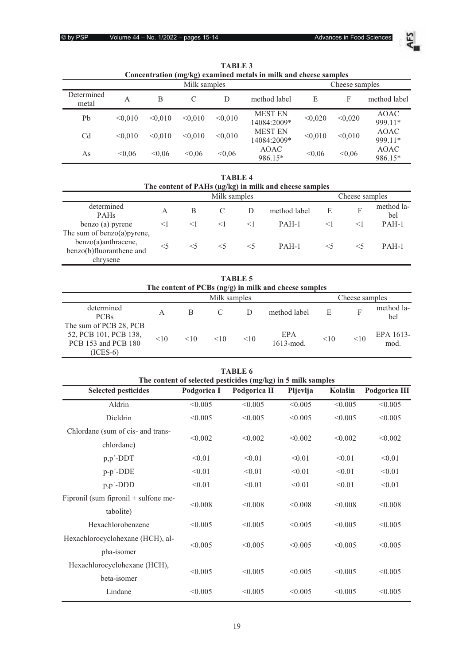© by PSP Volume 44 – No. 1/2022 – pages 15-14 Advances in Food Sciences AFS

| <b>TABLE 3</b>                                                   |  |  |  |  |  |
|------------------------------------------------------------------|--|--|--|--|--|
| Concentration (mg/kg) examined metals in milk and cheese samples |  |  |  |  |  |

|                     | Milk samples |         |               |         |                               |         |         | Cheese samples         |
|---------------------|--------------|---------|---------------|---------|-------------------------------|---------|---------|------------------------|
| Determined<br>metal | А            | B       | $\mathcal{C}$ | D       | method label                  | E       | F       | method label           |
| Pb                  | < 0.010      | < 0.010 | < 0.010       | < 0.010 | <b>MEST EN</b><br>14084:2009* | < 0.020 | < 0.020 | <b>AOAC</b><br>999.11* |
| C <sub>d</sub>      | < 0.010      | < 0.010 | < 0.010       | < 0.010 | <b>MEST EN</b><br>14084:2009* | < 0.010 | < 0.010 | <b>AOAC</b><br>999.11* |
| As                  | < 0.06       | < 0.06  | < 0.06        | <0.06   | AOAC<br>986.15*               | < 0.06  | < 0.06  | <b>AOAC</b><br>986.15* |

| TABLE 4                                                |  |
|--------------------------------------------------------|--|
| The content of PAHs (µg/kg) in milk and cheese samples |  |

| The content of Fritts (ug/ng) in mine and encest samples                                      |          |          |              |          |              |          |                |                   |
|-----------------------------------------------------------------------------------------------|----------|----------|--------------|----------|--------------|----------|----------------|-------------------|
|                                                                                               |          |          | Milk samples |          |              |          | Cheese samples |                   |
| determined<br><b>PAHs</b>                                                                     | A        | B        |              | D        | method label |          |                | method la-<br>bel |
| benzo (a) pyrene                                                                              | $<$ 1    | $\leq$ 1 | $\leq$ 1     | $<$ 1    | $PAH-1$      | $\leq$ 1 | $<$ 1          | $PAH-1$           |
| The sum of benzo $(a)$ pyrene,<br>benzo(a)anthracene,<br>benzo(b)fluoranthene and<br>chrysene | $\leq$ 5 | $\leq$ 5 | $\leq$ 5     | $\leq$ 5 | $PAH-1$      |          | $<$ 5          | $PAH-1$           |

| TABLE 5                                               |  |
|-------------------------------------------------------|--|
| The content of PCBs (ng/g) in milk and cheese samples |  |

| The content of T CDs (ng/g) in mins and encest samples                               |     |     |              |     |                         |     |                |                   |
|--------------------------------------------------------------------------------------|-----|-----|--------------|-----|-------------------------|-----|----------------|-------------------|
|                                                                                      |     |     | Milk samples |     |                         |     | Cheese samples |                   |
| determined<br><b>PCBs</b>                                                            |     | B   |              | D   | method label            | E   |                | method la-<br>bel |
| The sum of PCB 28, PCB<br>52, PCB 101, PCB 138,<br>PCB 153 and PCB 180<br>$(ICES-6)$ | <10 | <10 | <10          | <10 | <b>EPA</b><br>1613-mod. | <10 | <10            | EPA 1613-<br>mod. |

| <b>TABLE 6</b><br>The content of selected pesticides (mg/kg) in 5 milk samples                    |         |         |         |         |         |  |  |  |
|---------------------------------------------------------------------------------------------------|---------|---------|---------|---------|---------|--|--|--|
| Kolašin<br>Podgorica III<br><b>Selected pesticides</b><br>Podgorica I<br>Podgorica II<br>Pljevlja |         |         |         |         |         |  |  |  |
| Aldrin                                                                                            | < 0.005 | < 0.005 | < 0.005 | < 0.005 | < 0.005 |  |  |  |
| Dieldrin                                                                                          | < 0.005 | < 0.005 | < 0.005 | < 0.005 | < 0.005 |  |  |  |
| Chlordane (sum of cis- and trans-<br>chlordane)                                                   | < 0.002 | < 0.002 | < 0.002 | < 0.002 | < 0.002 |  |  |  |
| $p, p'$ -DDT                                                                                      | < 0.01  | < 0.01  | < 0.01  | < 0.01  | < 0.01  |  |  |  |
| p-p'-DDE                                                                                          | < 0.01  | < 0.01  | < 0.01  | < 0.01  | < 0.01  |  |  |  |
| p,p'-DDD                                                                                          | < 0.01  | < 0.01  | < 0.01  | < 0.01  | < 0.01  |  |  |  |
| Fipronil (sum fipronil $+$ sulfone me-<br>tabolite)                                               | < 0.008 | < 0.008 | < 0.008 | < 0.008 | < 0.008 |  |  |  |
| Hexachlorobenzene                                                                                 | < 0.005 | < 0.005 | < 0.005 | < 0.005 | < 0.005 |  |  |  |
| Hexachlorocyclohexane (HCH), al-<br>pha-isomer                                                    | < 0.005 | < 0.005 | < 0.005 | < 0.005 | < 0.005 |  |  |  |
| Hexachlorocyclohexane (HCH),<br>beta-isomer                                                       | < 0.005 | < 0.005 | < 0.005 | < 0.005 | < 0.005 |  |  |  |
| Lindane                                                                                           | < 0.005 | < 0.005 | < 0.005 | < 0.005 | < 0.005 |  |  |  |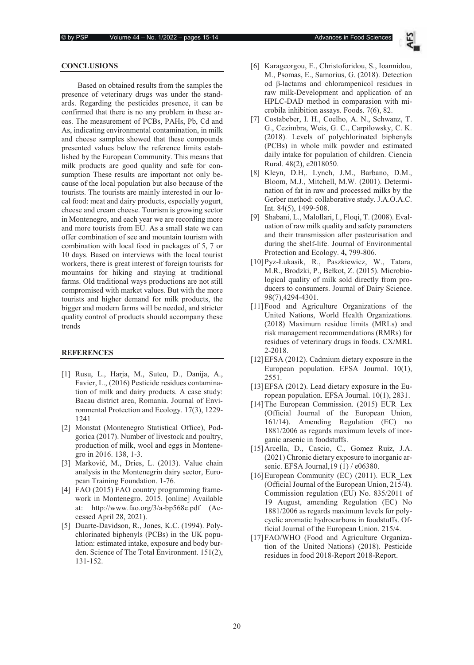Based on obtained results from the samples the presence of veterinary drugs was under the standards. Regarding the pesticides presence, it can be confirmed that there is no any problem in these areas. The measurement of PCBs, PAHs, Pb, Cd and As, indicating environmental contamination, in milk and cheese samples showed that these compounds presented values below the reference limits established by the European Community. This means that milk products are good quality and safe for consumption These results are important not only because of the local population but also because of the tourists. The tourists are mainly interested in our local food: meat and dairy products, especially yogurt, cheese and cream cheese. Tourism is growing sector in Montenegro, and each year we are recording more and more tourists from EU. As a small state we can offer combination of see and mountain tourism with combination with local food in packages of 5, 7 or 10 days. Based on interviews with the local tourist workers, there is great interest of foreign tourists for mountains for hiking and staying at traditional farms. Old traditional ways productions are not still compromised with market values. But with the more tourists and higher demand for milk products, the bigger and modern farms will be needed, and stricter quality control of products should accompany these trends

#### **REFERENCES**

- [1] Rusu, L., Harja, M., Suteu, D., Danija, A., Favier, L., (2016) Pesticide residues contamination of milk and dairy products. A case study: Bacau district area, Romania. Journal of Environmental Protection and Ecology. 17(3), 1229- 1241
- [2] Monstat (Montenegro Statistical Office), Podgorica (2017). Number of livestock and poultry, production of milk, wool and eggs in Montenegro in 2016. 138, 1-3.
- [3] Marković, M., Dries, L. (2013). Value chain analysis in the Montenegrin dairy sector, European Training Foundation. 1-76.
- [4] FAO (2015) FAO country programming framework in Montenegro. 2015. [online] Available at: http://www.fao.org/3/a-bp568e.pdf (Accessed April 28, 2021).
- [5] Duarte-Davidson, R., Jones, K.C. (1994). Polychlorinated biphenyls (PCBs) in the UK population: estimated intake, exposure and body burden. Science of The Total Environment. 151(2), 131-152.
- [6] Karageorgou, E., Christoforidou, S., Ioannidou, M., Psomas, E., Samorius, G. (2018). Detection od β-lactams and chlorampenicol residues in raw milk-Development and application of an HPLC-DAD method in comparasion with microbila inhibition assays. Foods. 7(6), 82.
- [7] Costabeber, I. H., Coelho, A. N., Schwanz, T. G., Cezimbra, Weis, G. C., Carpilowsky, C. K. (2018). Levels of polychlorinated biphenyls (PCBs) in whole milk powder and estimated daily intake for population of children. Ciencia Rural. 48(2), e2018050.
- [8] Kleyn, D.H,. Lynch, J.M., Barbano, D.M., Bloom, M.J., Mitchell, M.W. (2001). Determination of fat in raw and processed milks by the Gerber method: collaborative study. J.A.O.A.C. Int. 84(5), 1499-508.
- [9] Shabani, L., Malollari, I., Floqi, T. (2008). Evaluation of raw milk quality and safety parameters and their transmission after pasteurisation and during the shelf-life. Journal of Environmental Protection and Ecology. 4**,** 799-806.
- [10]Pyz-Łukasik, R., Paszkiewicz, W., Tatara, M.R., Brodzki, P., Bełkot, Z. (2015). Microbiological quality of milk sold directly from producers to consumers. Journal of Dairy Science. 98(7),4294-4301.
- [11] Food and Agriculture Organizations of the United Nations, World Health Organizations. (2018) Maximum residue limits (MRLs) and risk management recommendations (RMRs) for residues of veterinary drugs in foods. CX/MRL 2-2018.
- [12] EFSA (2012). Cadmium dietary exposure in the European population. EFSA Journal. 10(1), 2551.
- [13] EFSA (2012). Lead dietary exposure in the European population. EFSA Journal. 10(1), 2831.
- [14] The European Commission. (2015) EUR Lex (Official Journal of the European Union, 161/14). Amending Regulation (EC) no 1881/2006 as regards maximum levels of inorganic arsenic in foodstuffs.
- [15]Arcella, D., Cascio, C., Gomez Ruiz, J.A. (2021) Chronic dietary exposure to inorganic arsenic. EFSA Journal, 19 (1) / e06380.
- [16] European Community (EC) (2011). EUR Lex (Official Journal of the European Union, 215/4). Commission regulation (EU) No. 835/2011 of 19 August, amending Regulation (EC) No 1881/2006 as regards maximum levels for polycyclic aromatic hydrocarbons in foodstuffs. Official Journal of the European Union. 215/4.
- [17]FAO/WHO (Food and Agriculture Organization of the United Nations) (2018). Pesticide residues in food 2018-Report 2018-Report.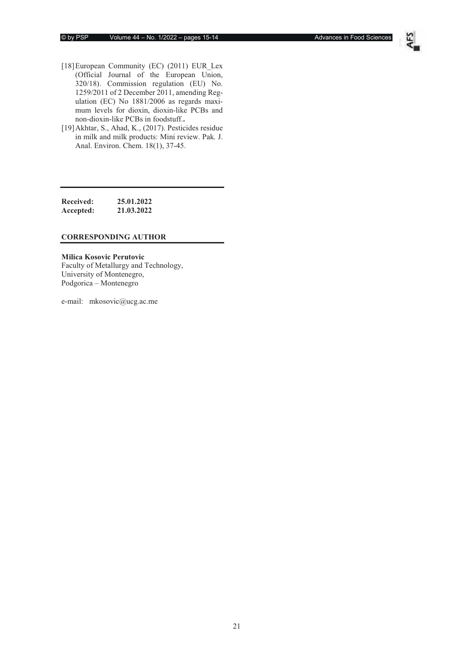- [18]European Community (EC) (2011) EUR\_Lex (Official Journal of the European Union, 320/18). Commission regulation (EU) No. 1259/2011 of 2 December 2011, amending Regulation (EC) No 1881/2006 as regards maximum levels for dioxin, dioxin-like PCBs and non-dioxin-like PCBs in foodstuff.**.**
- [19]Akhtar, S., Ahad, K., (2017). Pesticides residue in milk and milk products: Mini review. Pak*.* J. Anal. Environ. Chem. 18(1), 37-45.

**Received: 25.01.2022 Accepted: 21.03.2022**

#### **CORRESPONDING AUTHOR**

#### **Milica Kosovic Perutovic**

Faculty of Metallurgy and Technology, University of Montenegro, Podgorica – Montenegro

e-mail: mkosovic@ucg.ac.me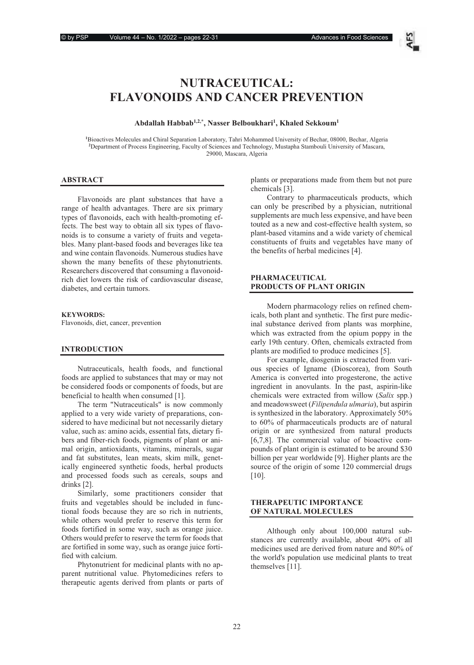

## **NUTRACEUTICAL: FLAVONOIDS AND CANCER PREVENTION**

**Abdallah Habbab1,2,\*, Nasser Belboukhari1 , Khaled Sekkoum1**

**1** Bioactives Molecules and Chiral Separation Laboratory, Tahri Mohammed University of Bechar, 08000, Bechar, Algeria **2** Department of Process Engineering, Faculty of Sciences and Technology, Mustapha Stambouli University of Mascara, 29000, Mascara, Algeria

#### **ABSTRACT**

Flavonoids are plant substances that have a range of health advantages. There are six primary types of flavonoids, each with health-promoting effects. The best way to obtain all six types of flavonoids is to consume a variety of fruits and vegetables. Many plant-based foods and beverages like tea and wine contain flavonoids. Numerous studies have shown the many benefits of these phytonutrients. Researchers discovered that consuming a flavonoidrich diet lowers the risk of cardiovascular disease, diabetes, and certain tumors.

#### **KEYWORDS:**

Flavonoids, diet, cancer, prevention

#### **INTRODUCTION**

Nutraceuticals, health foods, and functional foods are applied to substances that may or may not be considered foods or components of foods, but are beneficial to health when consumed [1].

The term "Nutraceuticals" is now commonly applied to a very wide variety of preparations, considered to have medicinal but not necessarily dietary value, such as: amino acids, essential fats, dietary fibers and fiber-rich foods, pigments of plant or animal origin, antioxidants, vitamins, minerals, sugar and fat substitutes, lean meats, skim milk, genetically engineered synthetic foods, herbal products and processed foods such as cereals, soups and drinks [2].

Similarly, some practitioners consider that fruits and vegetables should be included in functional foods because they are so rich in nutrients, while others would prefer to reserve this term for foods fortified in some way, such as orange juice. Others would prefer to reserve the term for foods that are fortified in some way, such as orange juice fortified with calcium.

Phytonutrient for medicinal plants with no apparent nutritional value. Phytomedicines refers to therapeutic agents derived from plants or parts of plants or preparations made from them but not pure chemicals [3].

Contrary to pharmaceuticals products, which can only be prescribed by a physician, nutritional supplements are much less expensive, and have been touted as a new and cost-effective health system, so plant-based vitamins and a wide variety of chemical constituents of fruits and vegetables have many of the benefits of herbal medicines [4].

#### **PHARMACEUTICAL PRODUCTS OF PLANT ORIGIN**

Modern pharmacology relies on refined chemicals, both plant and synthetic. The first pure medicinal substance derived from plants was morphine, which was extracted from the opium poppy in the early 19th century. Often, chemicals extracted from plants are modified to produce medicines [5].

For example, diosgenin is extracted from various species of Igname (Dioscorea), from South America is converted into progesterone, the active ingredient in anovulants. In the past, aspirin-like chemicals were extracted from willow (*Salix* spp.) and meadowsweet (*Filipendula ulmaria*), but aspirin is synthesized in the laboratory. Approximately 50% to 60% of pharmaceuticals products are of natural origin or are synthesized from natural products [6,7,8]. The commercial value of bioactive compounds of plant origin is estimated to be around \$30 billion per year worldwide [9]. Higher plants are the source of the origin of some 120 commercial drugs [10].

#### **THERAPEUTIC IMPORTANCE OF NATURAL MOLECULES**

Although only about 100,000 natural substances are currently available, about 40% of all medicines used are derived from nature and 80% of the world's population use medicinal plants to treat themselves [11].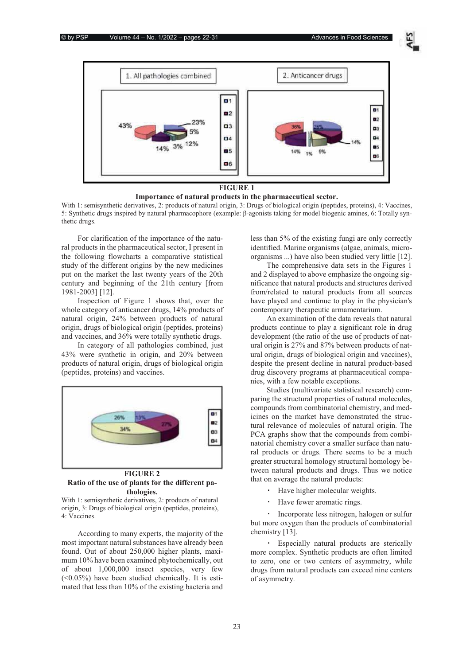





With 1: semisynthetic derivatives, 2: products of natural origin, 3: Drugs of biological origin (peptides, proteins), 4: Vaccines, 5: Synthetic drugs inspired by natural pharmacophore (example: β-agonists taking for model biogenic amines, 6: Totally synthetic drugs.

For clarification of the importance of the natural products in the pharmaceutical sector, I present in the following flowcharts a comparative statistical study of the different origins by the new medicines put on the market the last twenty years of the 20th century and beginning of the 21th century [from 1981-2003] [12].

Inspection of Figure 1 shows that, over the whole category of anticancer drugs, 14% products of natural origin, 24% between products of natural origin, drugs of biological origin (peptides, proteins) and vaccines, and 36% were totally synthetic drugs.

In category of all pathologies combined, just 43% were synthetic in origin, and 20% between products of natural origin, drugs of biological origin (peptides, proteins) and vaccines.



#### **FIGURE 2 Ratio of the use of plants for the different pathologies.**

With 1: semisynthetic derivatives, 2: products of natural origin, 3: Drugs of biological origin (peptides, proteins), 4: Vaccines.

According to many experts, the majority of the most important natural substances have already been found. Out of about 250,000 higher plants, maximum 10% have been examined phytochemically, out of about 1,000,000 insect species, very few (<0.05%) have been studied chemically. It is estimated that less than 10% of the existing bacteria and

less than 5% of the existing fungi are only correctly identified. Marine organisms (algae, animals, microorganisms ...) have also been studied very little [12].

The comprehensive data sets in the Figures 1 and 2 displayed to above emphasize the ongoing significance that natural products and structures derived from/related to natural products from all sources have played and continue to play in the physician's contemporary therapeutic armamentarium.

An examination of the data reveals that natural products continue to play a significant role in drug development (the ratio of the use of products of natural origin is 27% and 87% between products of natural origin, drugs of biological origin and vaccines), despite the present decline in natural product-based drug discovery programs at pharmaceutical companies, with a few notable exceptions.

Studies (multivariate statistical research) comparing the structural properties of natural molecules, compounds from combinatorial chemistry, and medicines on the market have demonstrated the structural relevance of molecules of natural origin. The PCA graphs show that the compounds from combinatorial chemistry cover a smaller surface than natural products or drugs. There seems to be a much greater structural homology structural homology between natural products and drugs. Thus we notice that on average the natural products:

- **Have higher molecular weights.**
- **Have fewer aromatic rings.**

ڰ Incorporate less nitrogen, halogen or sulfur but more oxygen than the products of combinatorial chemistry [13].

**·** Especially natural products are sterically more complex. Synthetic products are often limited to zero, one or two centers of asymmetry, while drugs from natural products can exceed nine centers of asymmetry.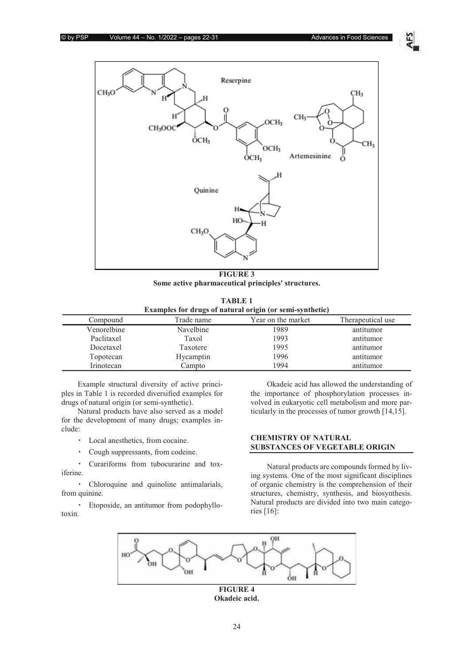



**FIGURE 3 Some active pharmaceutical principles' structures.**

| TABLE 1                                                         |  |
|-----------------------------------------------------------------|--|
| <b>Examples for drugs of natural origin (or semi-synthetic)</b> |  |

| Compound    | Trade name | Year on the market | Therapeutical use |  |  |  |  |
|-------------|------------|--------------------|-------------------|--|--|--|--|
| Venorelbine | Navelbine  | 1989               | antitumor         |  |  |  |  |
| Paclitaxel  | Taxol      | 1993               | antitumor         |  |  |  |  |
| Docetaxel   | Taxotere   | 1995               | antitumor         |  |  |  |  |
| Topotecan   | Hycamptin  | 1996               | antitumor         |  |  |  |  |
| Irinotecan  | Campto     | 1994               | antitumor         |  |  |  |  |

Example structural diversity of active principles in Table 1 is recorded diversified examples for drugs of natural origin (or semi-synthetic).

Natural products have also served as a model for the development of many drugs; examples include:

• Local anesthetics, from cocaine.

• Cough suppressants, from codeine.

**·** Curariforms from tubocurarine and toxiferine.

· Chloroquine and quinoline antimalarials, from quinine.

ڰ Etoposide, an antitumor from podophyllotoxin.

Okadeic acid has allowed the understanding of the importance of phosphorylation processes involved in eukaryotic cell metabolism and more particularly in the processes of tumor growth [14,15].

#### **CHEMISTRY OF NATURAL SUBSTANCES OF VEGETABLE ORIGIN**

Natural products are compounds formed by living systems. One of the most significant disciplines of organic chemistry is the comprehension of their structures, chemistry, synthesis, and biosynthesis. Natural products are divided into two main categories [16]:



**Okadeic acid.**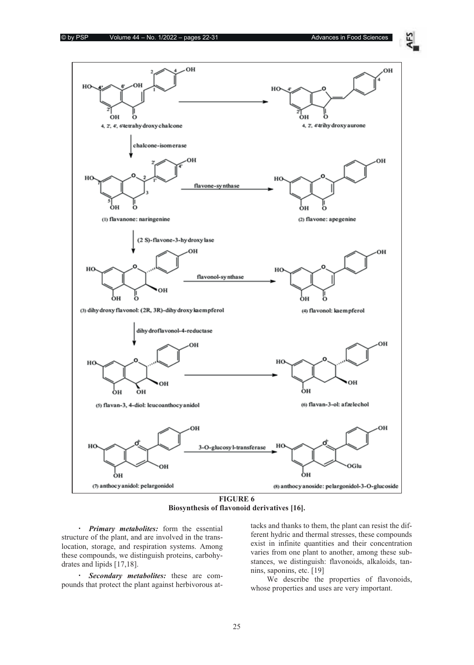

**Biosynthesis of flavonoid derivatives [16].**

*Primary metabolites:* form the essential structure of the plant, and are involved in the translocation, storage, and respiration systems. Among these compounds, we distinguish proteins, carbohydrates and lipids [17,18].

*Secondary metabolites:* these are compounds that protect the plant against herbivorous attacks and thanks to them, the plant can resist the different hydric and thermal stresses, these compounds exist in infinite quantities and their concentration varies from one plant to another, among these substances, we distinguish: flavonoids, alkaloids, tannins, saponins, etc. [19]

We describe the properties of flavonoids, whose properties and uses are very important.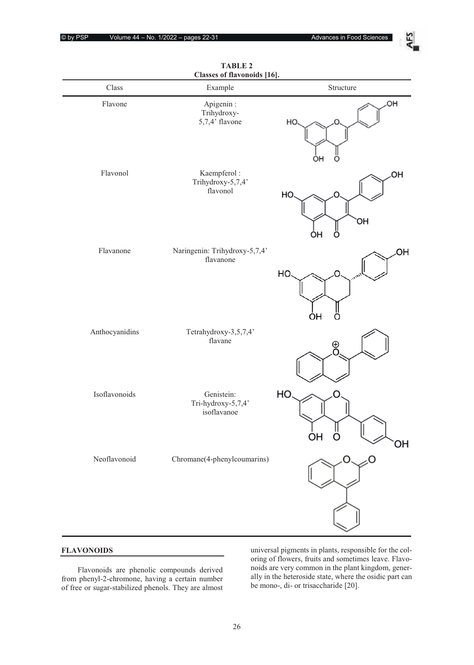| Class          | Example                                         | Structure            |
|----------------|-------------------------------------------------|----------------------|
| Flavone        | Apigenin :<br>Trihydroxy-<br>5,7,4' flavone     | OH<br>HO<br>O        |
| Flavonol       | Kaempferol:<br>Trihydroxy-5,7,4'<br>flavonol    | OH<br>HO<br>ЮH<br>он |
| Flavanone      | Naringenin: Trihydroxy-5,7,4'<br>flavanone      | OН<br>HO<br>ÒН       |
| Anthocyanidins | Tetrahydroxy-3,5,7,4'<br>flavane                | ⊕<br>∩               |
| Isoflavonoids  | Genistein:<br>Tri-hydroxy-5,7,4'<br>isoflavanoe | HO.<br>OH<br>OН      |
| Neoflavonoid   | Chromane(4-phenylcoumarins)                     | O.<br>$\Omega$       |

**TABLE 2 Classes of flavonoids [16].**

#### **FLAVONOIDS**

Flavonoids are phenolic compounds derived from phenyl-2-chromone, having a certain number of free or sugar-stabilized phenols. They are almost universal pigments in plants, responsible for the coloring of flowers, fruits and sometimes leave. Flavonoids are very common in the plant kingdom, generally in the heteroside state, where the osidic part can be mono-, di- or trisaccharide [20].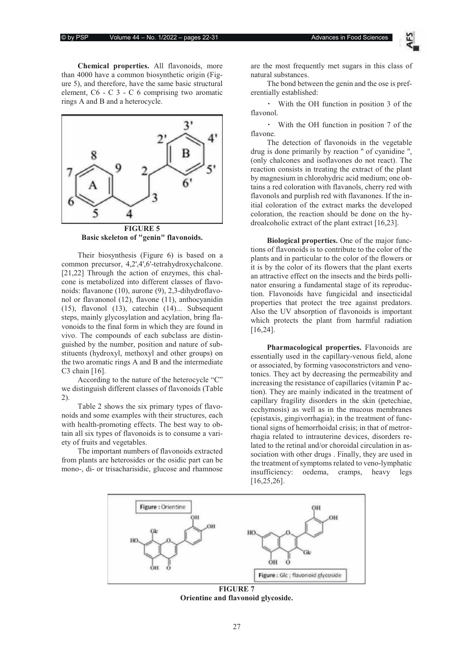**Chemical properties.** All flavonoids, more than 4000 have a common biosynthetic origin (Figure 5), and therefore, have the same basic structural element, C6 - C 3 - C 6 comprising two aromatic rings A and B and a heterocycle.



**Basic skeleton of "genin" flavonoids.**

Their biosynthesis (Figure 6) is based on a common precursor, 4,2',4',6'-tetrahydroxychalcone. [21,22] Through the action of enzymes, this chalcone is metabolized into different classes of flavonoids: flavanone (10), aurone (9), 2,3-dihydroflavonol or flavanonol (12), flavone (11), anthocyanidin (15), flavonol (13), catechin (14)... Subsequent steps, mainly glycosylation and acylation, bring flavonoids to the final form in which they are found in vivo. The compounds of each subclass are distinguished by the number, position and nature of substituents (hydroxyl, methoxyl and other groups) on the two aromatic rings A and B and the intermediate C3 chain [16].

According to the nature of the heterocycle "C" we distinguish different classes of flavonoids (Table 2).

Table 2 shows the six primary types of flavonoids and some examples with their structures, each with health-promoting effects. The best way to obtain all six types of flavonoids is to consume a variety of fruits and vegetables.

The important numbers of flavonoids extracted from plants are heterosides or the osidic part can be mono-, di- or trisacharisidic, glucose and rhamnose

are the most frequently met sugars in this class of natural substances.

The bond between the genin and the ose is preferentially established:

ڰ With the OH function in position 3 of the flavonol.

With the OH function in position 7 of the flavone.

The detection of flavonoids in the vegetable drug is done primarily by reaction '' of cyanidine '', (only chalcones and isoflavones do not react). The reaction consists in treating the extract of the plant by magnesium in chlorohydric acid medium; one obtains a red coloration with flavanols, cherry red with flavonols and purplish red with flavanones. If the initial coloration of the extract marks the developed coloration, the reaction should be done on the hydroalcoholic extract of the plant extract [16,23].

**Biological properties.** One of the major functions of flavonoids is to contribute to the color of the plants and in particular to the color of the flowers or it is by the color of its flowers that the plant exerts an attractive effect on the insects and the birds pollinator ensuring a fundamental stage of its reproduction. Flavonoids have fungicidal and insecticidal properties that protect the tree against predators. Also the UV absorption of flavonoids is important which protects the plant from harmful radiation [16,24].

**Pharmacological properties.** Flavonoids are essentially used in the capillary-venous field, alone or associated, by forming vasoconstrictors and venotonics. They act by decreasing the permeability and increasing the resistance of capillaries (vitamin P action). They are mainly indicated in the treatment of capillary fragility disorders in the skin (petechiae, ecchymosis) as well as in the mucous membranes (epistaxis, gingivorrhagia); in the treatment of functional signs of hemorrhoidal crisis; in that of metrorrhagia related to intrauterine devices, disorders related to the retinal and/or choroidal circulation in association with other drugs . Finally, they are used in the treatment of symptoms related to veno-lymphatic insufficiency: oedema, cramps, heavy legs [16,25,26].



**FIGURE 7 Orientine and flavonoid glycoside.**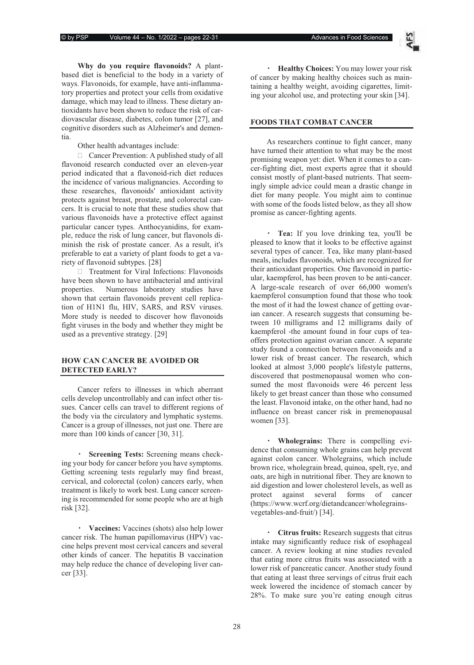**Why do you require flavonoids?** A plantbased diet is beneficial to the body in a variety of ways. Flavonoids, for example, have anti-inflammatory properties and protect your cells from oxidative damage, which may lead to illness. These dietary antioxidants have been shown to reduce the risk of cardiovascular disease, diabetes, colon tumor [27], and cognitive disorders such as Alzheimer's and dementia.

Other health advantages include:

□ Cancer Prevention: A published study of all flavonoid research conducted over an eleven-year period indicated that a flavonoid-rich diet reduces the incidence of various malignancies. According to these researches, flavonoids' antioxidant activity protects against breast, prostate, and colorectal cancers. It is crucial to note that these studies show that various flavonoids have a protective effect against particular cancer types. Anthocyanidins, for example, reduce the risk of lung cancer, but flavonols diminish the risk of prostate cancer. As a result, it's preferable to eat a variety of plant foods to get a variety of flavonoid subtypes. [28]

□ Treatment for Viral Infections: Flavonoids have been shown to have antibacterial and antiviral properties. Numerous laboratory studies have shown that certain flavonoids prevent cell replication of H1N1 flu, HIV, SARS, and RSV viruses. More study is needed to discover how flavonoids fight viruses in the body and whether they might be used as a preventive strategy. [29]

#### **HOW CAN CANCER BE AVOIDED OR DETECTED EARLY?**

Cancer refers to illnesses in which aberrant cells develop uncontrollably and can infect other tissues. Cancer cells can travel to different regions of the body via the circulatory and lymphatic systems. Cancer is a group of illnesses, not just one. There are more than 100 kinds of cancer [30, 31].

**Screening Tests:** Screening means checking your body for cancer before you have symptoms. Getting screening tests regularly may find breast, cervical, and colorectal (colon) cancers early, when treatment is likely to work best. Lung cancer screening is recommended for some people who are at high risk [32].

**·** Vaccines: Vaccines (shots) also help lower cancer risk. The human papillomavirus (HPV) vaccine helps prevent most cervical cancers and several other kinds of cancer. The hepatitis B vaccination may help reduce the chance of developing liver cancer [33].

**Healthy Choices:** You may lower your risk of cancer by making healthy choices such as maintaining a healthy weight, avoiding cigarettes, limiting your alcohol use, and protecting your skin [34].

#### **FOODS THAT COMBAT CANCER**

As researchers continue to fight cancer, many have turned their attention to what may be the most promising weapon yet: diet. When it comes to a cancer-fighting diet, most experts agree that it should consist mostly of plant-based nutrients. That seemingly simple advice could mean a drastic change in diet for many people. You might aim to continue with some of the foods listed below, as they all show promise as cancer-fighting agents.

**Tea:** If you love drinking tea, you'll be pleased to know that it looks to be effective against several types of cancer. Tea, like many plant-based meals, includes flavonoids, which are recognized for their antioxidant properties. One flavonoid in particular, kaempferol, has been proven to be anti-cancer. A large-scale research of over 66,000 women's kaempferol consumption found that those who took the most of it had the lowest chance of getting ovarian cancer. A research suggests that consuming between 10 milligrams and 12 milligrams daily of kaempferol -the amount found in four cups of teaoffers protection against ovarian cancer. A separate study found a connection between flavonoids and a lower risk of breast cancer. The research, which looked at almost 3,000 people's lifestyle patterns, discovered that postmenopausal women who consumed the most flavonoids were 46 percent less likely to get breast cancer than those who consumed the least. Flavonoid intake, on the other hand, had no influence on breast cancer risk in premenopausal women [33].

**Wholegrains:** There is compelling evidence that consuming whole grains can help prevent against colon cancer. Wholegrains, which include brown rice, wholegrain bread, quinoa, spelt, rye, and oats, are high in nutritional fiber. They are known to aid digestion and lower cholesterol levels, as well as protect against several forms of cancer (https://www.wcrf.org/dietandcancer/wholegrainsvegetables-and-fruit/) [34].

ڰ **Citrus fruits:** Research suggests that citrus intake may significantly reduce risk of esophageal cancer. A review looking at nine studies revealed that eating more citrus fruits was associated with a lower risk of pancreatic cancer. Another study found that eating at least three servings of citrus fruit each week lowered the incidence of stomach cancer by 28%. To make sure you're eating enough citrus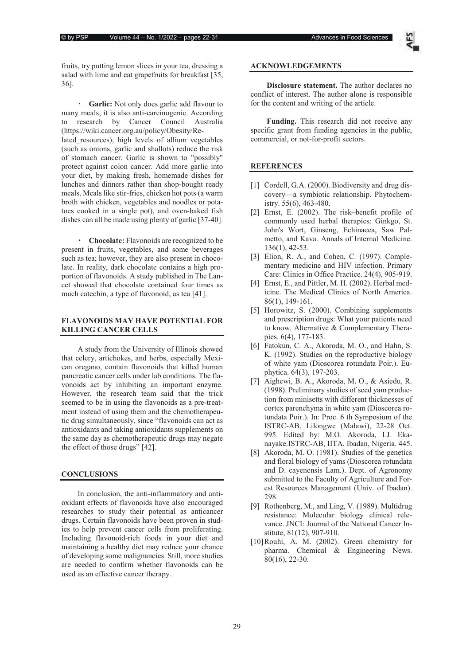fruits, try putting lemon slices in your tea, dressing a salad with lime and eat grapefruits for breakfast [35, 36].

**Garlic:** Not only does garlic add flavour to many meals, it is also anti-carcinogenic. According to research by Cancer Council Australia (https://wiki.cancer.org.au/policy/Obesity/Re-

lated resources), high levels of allium vegetables (such as onions, garlic and shallots) reduce the risk of stomach cancer. Garlic is shown to "possibly" protect against colon cancer. Add more garlic into your diet, by making fresh, homemade dishes for lunches and dinners rather than shop-bought ready meals. Meals like stir-fries, chicken hot pots (a warm broth with chicken, vegetables and noodles or potatoes cooked in a single pot), and oven-baked fish dishes can all be made using plenty of garlic [37-40].

**Chocolate:** Flavonoids are recognized to be present in fruits, vegetables, and some beverages such as tea; however, they are also present in chocolate. In reality, dark chocolate contains a high proportion of flavonoids. A study published in The Lancet showed that chocolate contained four times as much catechin, a type of flavonoid, as tea [41].

#### **FLAVONOIDS MAY HAVE POTENTIAL FOR KILLING CANCER CELLS**

A study from the University of Illinois showed that celery, artichokes, and herbs, especially Mexican oregano, contain flavonoids that killed human pancreatic cancer cells under lab conditions. The flavonoids act by inhibiting an important enzyme. However, the research team said that the trick seemed to be in using the flavonoids as a pre-treatment instead of using them and the chemotherapeutic drug simultaneously, since "flavonoids can act as antioxidants and taking antioxidants supplements on the same day as chemotherapeutic drugs may negate the effect of those drugs" [42].

#### **CONCLUSIONS**

In conclusion, the anti-inflammatory and antioxidant effects of flavonoids have also encouraged researches to study their potential as anticancer drugs. Certain flavonoids have been proven in studies to help prevent cancer cells from proliferating. Including flavonoid-rich foods in your diet and maintaining a healthy diet may reduce your chance of developing some malignancies. Still, more studies are needed to confirm whether flavonoids can be used as an effective cancer therapy.

#### **ACKNOWLEDGEMENTS**

**Disclosure statement.** The author declares no conflict of interest. The author alone is responsible for the content and writing of the article.

**Funding.** This research did not receive any specific grant from funding agencies in the public, commercial, or not-for-profit sectors.

#### **REFERENCES**

- [1] Cordell, G.A. (2000). Biodiversity and drug discovery—a symbiotic relationship. Phytochemistry. 55(6), 463-480.
- [2] Ernst, E. (2002). The risk–benefit profile of commonly used herbal therapies: Ginkgo, St. John's Wort, Ginseng, Echinacea, Saw Palmetto, and Kava. Annals of Internal Medicine. 136(1), 42-53.
- [3] Elion, R. A., and Cohen, C. (1997). Complementary medicine and HIV infection. Primary Care: Clinics in Office Practice. 24(4), 905-919.
- [4] Ernst, E., and Pittler, M. H. (2002). Herbal medicine. The Medical Clinics of North America. 86(1), 149-161.
- [5] Horowitz, S. (2000). Combining supplements and prescription drugs: What your patients need to know. Alternative & Complementary Therapies. 6(4), 177-183.
- [6] Fatokun, C. A., Akoroda, M. O., and Hahn, S. K. (1992). Studies on the reproductive biology of white yam (Dioscorea rotundata Poir.). Euphytica. 64(3), 197-203.
- [7] Aighewi, B. A., Akoroda, M. O., & Asiedu, R. (1998). Preliminary studies of seed yam production from minisetts with different thicknesses of cortex parenchyma in white yam (Dioscorea rotundata Poir.). In: Proc. 6 th Symposium of the ISTRC-AB, Lilongwe (Malawi), 22-28 Oct. 995. Edited by: M.O. Akoroda, I.J. Ekanayake.ISTRC-AB, IITA. Ibadan, Nigeria. 445.
- [8] Akoroda, M. O. (1981). Studies of the genetics and floral biology of yams (Dioscorea rotundata and D. cayenensis Lam.). Dept. of Agronomy submitted to the Faculty of Agriculture and Forest Resources Management (Univ. of Ibadan). 298.
- [9] Rothenberg, M., and Ling, V. (1989). Multidrug resistance: Molecular biology clinical relevance. JNCI: Journal of the National Cancer Institute, 81(12), 907-910.
- [10]Rouhi, A. M. (2002). Green chemistry for pharma. Chemical & Engineering News. 80(16), 22-30.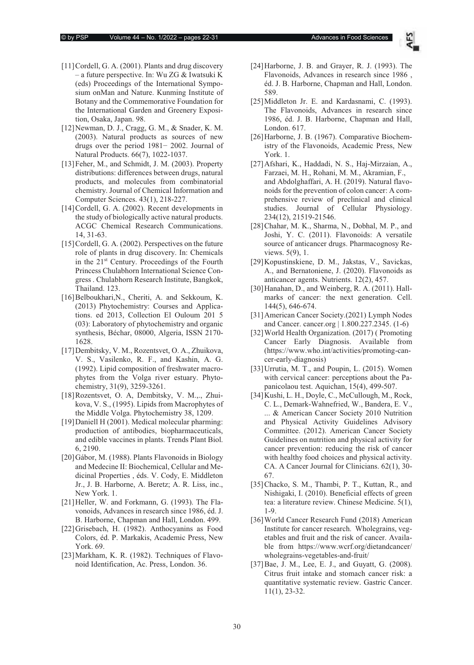- [11] Cordell, G. A. (2001). Plants and drug discovery – a future perspective. In: Wu ZG & Iwatsuki K (eds) Proceedings of the International Symposium onMan and Nature. Kunming Institute of Botany and the Commemorative Foundation for the International Garden and Greenery Exposition, Osaka, Japan. 98.
- [12]Newman, D. J., Cragg, G. M., & Snader, K. M. (2003). Natural products as sources of new drugs over the period 1981− 2002. Journal of Natural Products. 66(7), 1022-1037.
- [13]Feher, M., and Schmidt, J. M. (2003). Property distributions: differences between drugs, natural products, and molecules from combinatorial chemistry. Journal of Chemical Information and Computer Sciences. 43(1), 218-227.
- [14] Cordell, G. A. (2002). Recent developments in the study of biologically active natural products. ACGC Chemical Research Communications. 14, 31-63.
- [15] Cordell, G. A. (2002). Perspectives on the future role of plants in drug discovery. In: Chemicals in the 21st Century. Proceedings of the Fourth Princess Chulabhorn International Science Congress . Chulabhorn Research Institute, Bangkok, Thailand. 123.
- [16]Belboukhari,N., Cheriti, A. and Sekkoum, K. (2013) Phytochemistry: Courses and Applications. ed 2013, Collection El Ouloum 201 5 (03): Laboratory of phytochemistry and organic synthesis, Béchar, 08000, Algeria, ISSN 2170- 1628.
- [17]Dembitsky, V. M., Rozentsvet, O. A., Zhuikova, V. S., Vasilenko, R. F., and Kashin, A. G. (1992). Lipid composition of freshwater macrophytes from the Volga river estuary. Phytochemistry, 31(9), 3259-3261.
- [18]Rozentsvet, O. A, Dembitsky, V. M.,., Zhuikova, V. S., (1995). Lipids from Macrophytes of the Middle Volga. Phytochemistry 38, 1209.
- [19]Daniell H (2001). Medical molecular pharming: production of antibodies, biopharmaceuticals, and edible vaccines in plants. Trends Plant Biol. 6, 2190.
- [20]Gábor, M. (1988). Plants Flavonoids in Biology and Medecine II: Biochemical, Cellular and Medicinal Properties , éds. V. Cody, E. Middleton Jr., J. B. Harborne, A. Beretz; A. R. Liss, inc., New York. 1.
- [21] Heller, W. and Forkmann, G. (1993). The Flavonoids, Advances in research since 1986, éd. J. B. Harborne, Chapman and Hall, London. 499.
- [22]Grisebach, H. (1982). Anthocyanins as Food Colors, éd. P. Markakis, Academic Press, New York. 69.
- [23]Markham, K. R. (1982). Techniques of Flavonoid Identification, Ac. Press, London. 36.
- [24]Harborne, J. B. and Grayer, R. J. (1993). The Flavonoids, Advances in research since 1986 , éd. J. B. Harborne, Chapman and Hall, London. 589.
- [25] Middleton Jr. E. and Kardasnami, C. (1993). The Flavonoids, Advances in research since 1986, éd. J. B. Harborne, Chapman and Hall, London. 617.
- [26]Harborne, J. B. (1967). Comparative Biochemistry of the Flavonoids, Academic Press, New York. 1.
- [27]Afshari, K., Haddadi, N. S., Haj‐Mirzaian, A., Farzaei, M. H., Rohani, M. M., Akramian, F., and Abdolghaffari, A. H. (2019). Natural flavonoids for the prevention of colon cancer: A comprehensive review of preclinical and clinical studies. Journal of Cellular Physiology. 234(12), 21519-21546.
- [28]Chahar, M. K., Sharma, N., Dobhal, M. P., and Joshi, Y. C. (2011). Flavonoids: A versatile source of anticancer drugs. Pharmacognosy Reviews. 5(9), 1.
- [29]Kopustinskiene, D. M., Jakstas, V., Savickas, A., and Bernatoniene, J. (2020). Flavonoids as anticancer agents. Nutrients. 12(2), 457.
- [30]Hanahan, D., and Weinberg, R. A. (2011). Hallmarks of cancer: the next generation. Cell. 144(5), 646-674.
- [31]American Cancer Society.(2021) Lymph Nodes and Cancer. cancer.org | 1.800.227.2345. (1-6)
- [32]World Health Organization. (2017) ( Promoting Cancer Early Diagnosis. Available from (https://www.who.int/activities/promoting-cancer-early-diagnosis)
- [33]Urrutia, M. T., and Poupin, L. (2015). Women with cervical cancer: perceptions about the Papanicolaou test. Aquichan, 15(4), 499-507.
- [34]Kushi, L. H., Doyle, C., McCullough, M., Rock, C. L., Demark‐Wahnefried, W., Bandera, E. V., ... & American Cancer Society 2010 Nutrition and Physical Activity Guidelines Advisory Committee. (2012). American Cancer Society Guidelines on nutrition and physical activity for cancer prevention: reducing the risk of cancer with healthy food choices and physical activity. CA. A Cancer Journal for Clinicians. 62(1), 30- 67.
- [35]Chacko, S. M., Thambi, P. T., Kuttan, R., and Nishigaki, I. (2010). Beneficial effects of green tea: a literature review. Chinese Medicine. 5(1), 1-9.
- [36]World Cancer Research Fund (2018) American Institute for cancer research. Wholegrains, vegetables and fruit and the risk of cancer. Available from https://www.wcrf.org/dietandcancer/ wholegrains-vegetables-and-fruit/
- [37]Bae, J. M., Lee, E. J., and Guyatt, G. (2008). Citrus fruit intake and stomach cancer risk: a quantitative systematic review. Gastric Cancer. 11(1), 23-32.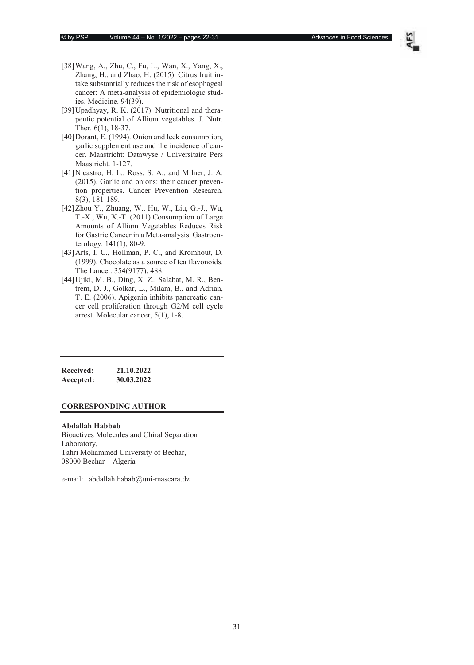- [38]Wang, A., Zhu, C., Fu, L., Wan, X., Yang, X., Zhang, H., and Zhao, H. (2015). Citrus fruit intake substantially reduces the risk of esophageal cancer: A meta-analysis of epidemiologic studies. Medicine. 94(39).
- [39]Upadhyay, R. K. (2017). Nutritional and therapeutic potential of Allium vegetables. J. Nutr. Ther. 6(1), 18-37.
- [40] Dorant, E. (1994). Onion and leek consumption, garlic supplement use and the incidence of cancer. Maastricht: Datawyse / Universitaire Pers Maastricht. 1-127.
- [41]Nicastro, H. L., Ross, S. A., and Milner, J. A. (2015). Garlic and onions: their cancer prevention properties. Cancer Prevention Research. 8(3), 181-189.
- [42]Zhou Y., Zhuang, W., Hu, W., Liu, G.-J., Wu, T.-X., Wu, X.-T. (2011) Consumption of Large Amounts of Allium Vegetables Reduces Risk for Gastric Cancer in a Meta-analysis. Gastroenterology. 141(1), 80-9.
- [43]Arts, I. C., Hollman, P. C., and Kromhout, D. (1999). Chocolate as a source of tea flavonoids. The Lancet. 354(9177), 488.
- [44]Ujiki, M. B., Ding, X. Z., Salabat, M. R., Bentrem, D. J., Golkar, L., Milam, B., and Adrian, T. E. (2006). Apigenin inhibits pancreatic cancer cell proliferation through G2/M cell cycle arrest. Molecular cancer, 5(1), 1-8.

| Received: | 21.10.2022 |
|-----------|------------|
| Accepted: | 30.03.2022 |

#### **CORRESPONDING AUTHOR**

#### **Abdallah Habbab**

Bioactives Molecules and Chiral Separation Laboratory, Tahri Mohammed University of Bechar, 08000 Bechar – Algeria

e-mail: abdallah.habab@uni-mascara.dz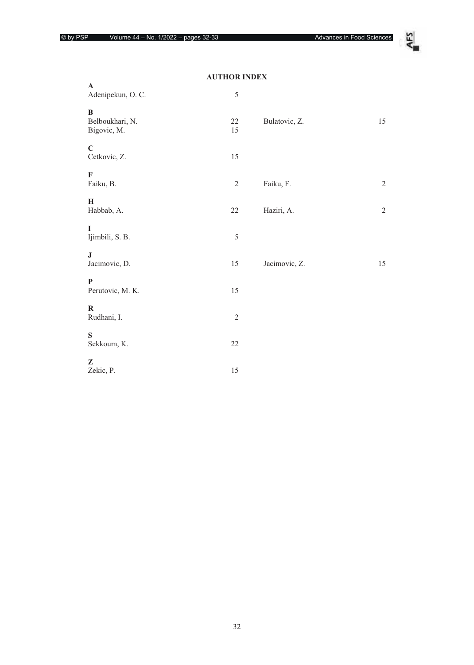# $AFS$

### **AUTHOR INDEX**

| $\boldsymbol{\rm A}$<br>Adenipekun, O. C.  | 5          |               |            |
|--------------------------------------------|------------|---------------|------------|
| $\bf{B}$<br>Belboukhari, N.<br>Bigovic, M. | 22<br>15   | Bulatovic, Z. | 15         |
| $\mathbf C$<br>Cetkovic, Z.                | 15         |               |            |
| $\mathbf F$<br>Faiku, B.                   | $\sqrt{2}$ | Faiku, F.     | $\sqrt{2}$ |
| $\bf H$<br>Habbab, A.                      | 22         | Haziri, A.    | $\sqrt{2}$ |
| $\bf{I}$<br>Ijimbili, S. B.                | 5          |               |            |
| $\bf J$<br>Jacimovic, D.                   | 15         | Jacimovic, Z. | 15         |
| $\mathbf P$<br>Perutovic, M. K.            | 15         |               |            |
| $\mathbf R$<br>Rudhani, I.                 | $\sqrt{2}$ |               |            |
| S<br>Sekkoum, K.                           | 22         |               |            |
| $\mathbf{Z}$<br>Zekic, P.                  | $15\,$     |               |            |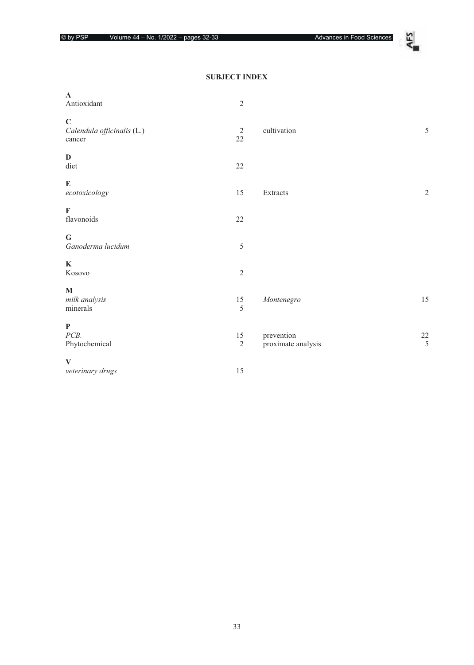$AFS$ 

#### **SUBJECT INDEX**

| $\boldsymbol{\rm A}$<br>Antioxidant<br>$\overline{2}$                                            |                          |
|--------------------------------------------------------------------------------------------------|--------------------------|
| $\mathbf C$<br>cultivation<br>Calendula officinalis (L.)<br>$\sqrt{2}$<br>22<br>cancer           | $\sqrt{5}$               |
| $\mathbf D$<br>$22\,$<br>diet                                                                    |                          |
| $\bf{E}$<br>ecotoxicology<br>15<br>Extracts                                                      | $\sqrt{2}$               |
| $\mathbf F$<br>flavonoids<br>22                                                                  |                          |
| $\mathbf G$<br>Ganoderma lucidum<br>$\mathfrak{S}$                                               |                          |
| $\bf K$<br>$\sqrt{2}$<br>Kosovo                                                                  |                          |
| $\mathbf{M}$<br>milk analysis<br>15<br>Montenegro<br>5<br>minerals                               | 15                       |
| $\mathbf P$<br>PCB.<br>15<br>prevention<br>Phytochemical<br>$\overline{2}$<br>proximate analysis | $22\,$<br>$\mathfrak{s}$ |
| $\mathbf{V}$<br>15<br>veterinary drugs                                                           |                          |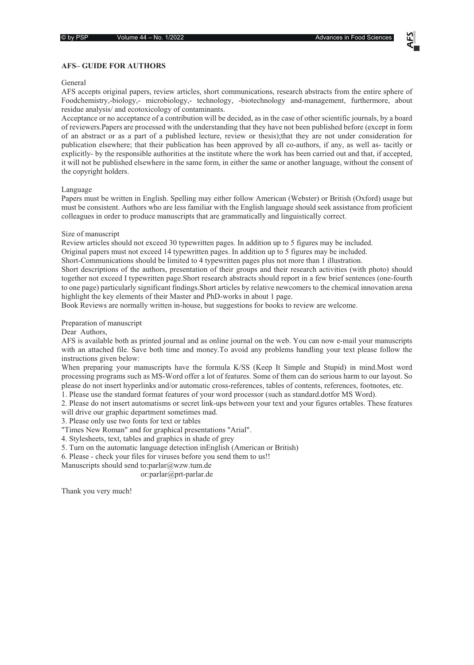#### **AFS-GUIDE FOR AUTHORS**

#### General

AFS accepts original papers, review articles, short communications, research abstracts from the entire sphere of Foodchemistry,-biology,- microbiology,- technology, -biotechnology and-management, furthermore, about residue analysis/ and ecotoxicology of contaminants.

Acceptance or no acceptance of a contribution will be decided, as in the case of other scientific journals, by a board of reviewers. Papers are processed with the understanding that they have not been published before (except in form of an abstract or as a part of a published lecture, review or thesis); that they are not under consideration for publication elsewhere; that their publication has been approved by all co-authors, if any, as well as- tacitly or explicitly- by the responsible authorities at the institute where the work has been carried out and that, if accepted, it will not be published elsewhere in the same form, in either the same or another language, without the consent of the copyright holders.

#### Language

Papers must be written in English. Spelling may either follow American (Webster) or British (Oxford) usage but must be consistent. Authors who are less familiar with the English language should seek assistance from proficient colleagues in order to produce manuscripts that are grammatically and linguistically correct.

#### Size of manuscript

Review articles should not exceed 30 typewritten pages. In addition up to 5 figures may be included.

Original papers must not exceed 14 typewritten pages. In addition up to 5 figures may be included.

Short-Communications should be limited to 4 typewritten pages plus not more than 1 illustration.

Short descriptions of the authors, presentation of their groups and their research activities (with photo) should together not exceed I typewritten page.Short research abstracts should report in a few brief sentences (one-fourth to one page) particularly significant findings. Short articles by relative new comers to the chemical innovation arena highlight the key elements of their Master and PhD-works in about 1 page.

Book Reviews are normally written in-house, but suggestions for books to review are welcome.

Preparation of manuscript

Dear Authors.

AFS is available both as printed journal and as online journal on the web. You can now e-mail your manuscripts with an attached file. Save both time and money. To avoid any problems handling your text please follow the instructions given below:

When preparing your manuscripts have the formula K/SS (Keep It Simple and Stupid) in mind. Most word processing programs such as MS-Word offer a lot of features. Some of them can do serious harm to our layout. So please do not insert hyperlinks and/or automatic cross-references, tables of contents, references, footnotes, etc.

1. Please use the standard format features of your word processor (such as standard.dotfor MS Word).

2. Please do not insert automatisms or secret link-ups between your text and your figures ortables. These features will drive our graphic department sometimes mad.

3. Please only use two fonts for text or tables

"Times New Roman" and for graphical presentations "Arial".

4. Stylesheets, text, tables and graphics in shade of grey

5. Turn on the automatic language detection in English (American or British)

6. Please - check your files for viruses before you send them to us!!

Manuscripts should send to:parlar@wzw.tum.de

 $or:parlar@prt-partlar.de$ 

Thank you very much!